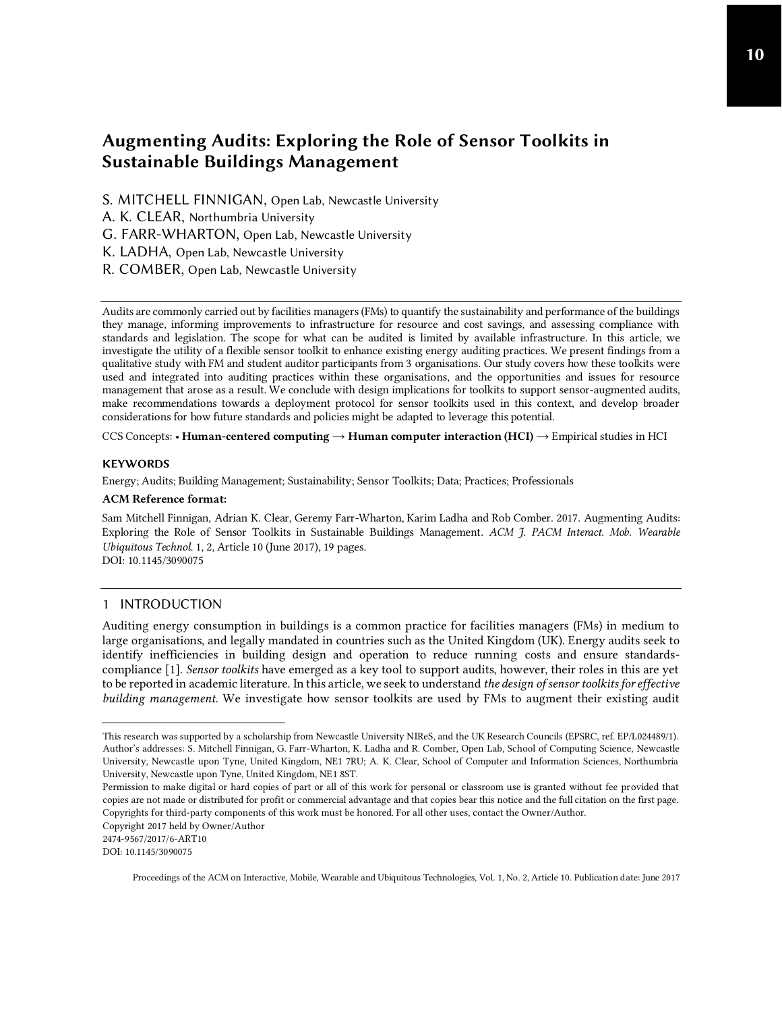S. MITCHELL FINNIGAN, Open Lab, Newcastle University

A. K. CLEAR, Northumbria University

G. FARR-WHARTON, Open Lab, Newcastle University

K. LADHA, Open Lab, Newcastle University

R. COMBER, Open Lab, Newcastle University

Audits are commonly carried out by facilities managers (FMs) to quantify the sustainability and performance of the buildings they manage, informing improvements to infrastructure for resource and cost savings, and assessing compliance with standards and legislation. The scope for what can be audited is limited by available infrastructure. In this article, we investigate the utility of a flexible sensor toolkit to enhance existing energy auditing practices. We present findings from a qualitative study with FM and student auditor participants from 3 organisations. Our study covers how these toolkits were used and integrated into auditing practices within these organisations, and the opportunities and issues for resource management that arose as a result. We conclude with design implications for toolkits to support sensor-augmented audits, make recommendations towards a deployment protocol for sensor toolkits used in this context, and develop broader considerations for how future standards and policies might be adapted to leverage this potential.

CCS Concepts: • [Human-centered computing](http://dl.acm.org/ccs/ccs.cfm?id=10003120&lid=0.10003120&CFID=717097557&CFTOKEN=13757123) → [Human computer interaction \(HCI\)](http://dl.acm.org/ccs/ccs.cfm?id=10003121&lid=0.10003120.10003121&CFID=717097557&CFTOKEN=13757123) → Empirical studies in HCI

#### **KEYWORDS**

Energy; Audits; Building Management; Sustainability; Sensor Toolkits; Data; Practices; Professionals

# ACM Reference format:

Sam Mitchell Finnigan, Adrian K. Clear, Geremy Farr-Wharton, Karim Ladha and Rob Comber. 2017. Augmenting Audits: Exploring the Role of Sensor Toolkits in Sustainable Buildings Management. *ACM J. PACM Interact. Mob. Wearable Ubiquitous Technol.* 1, 2, Article 10 (June 2017), 19 pages. DOI: 10.1145/3090075

# 1 INTRODUCTION

Auditing energy consumption in buildings is a common practice for facilities managers (FMs) in medium to large organisations, and legally mandated in countries such as the United Kingdom (UK). Energy audits seek to identify inefficiencies in building design and operation to reduce running costs and ensure standardscompliance [1]. *Sensor toolkits* have emerged as a key tool to support audits, however, their roles in this are yet to be reported in academic literature. In this article, we seek to understand *the design of sensor toolkits for effective building management.* We investigate how sensor toolkits are used by FMs to augment their existing audit

2474-9567/2017/6-ART10

DOI: 10.1145/3090075

This research was supported by a scholarship from Newcastle University NIReS, and the UK Research Councils (EPSRC, ref. EP/L024489/1). Author's addresses: S. Mitchell Finnigan, G. Farr-Wharton, K. Ladha and R. Comber, Open Lab, School of Computing Science, Newcastle University, Newcastle upon Tyne, United Kingdom, NE1 7RU; A. K. Clear, School of Computer and Information Sciences, Northumbria University, Newcastle upon Tyne, United Kingdom, NE1 8ST.

Permission to make digital or hard copies of part or all of this work for personal or classroom use is granted without fee provided that copies are not made or distributed for profit or commercial advantage and that copies bear this notice and the full citation on the first page. Copyrights for third-party components of this work must be honored. For all other uses, contact the Owner/Author.

Copyright 2017 held by Owner/Author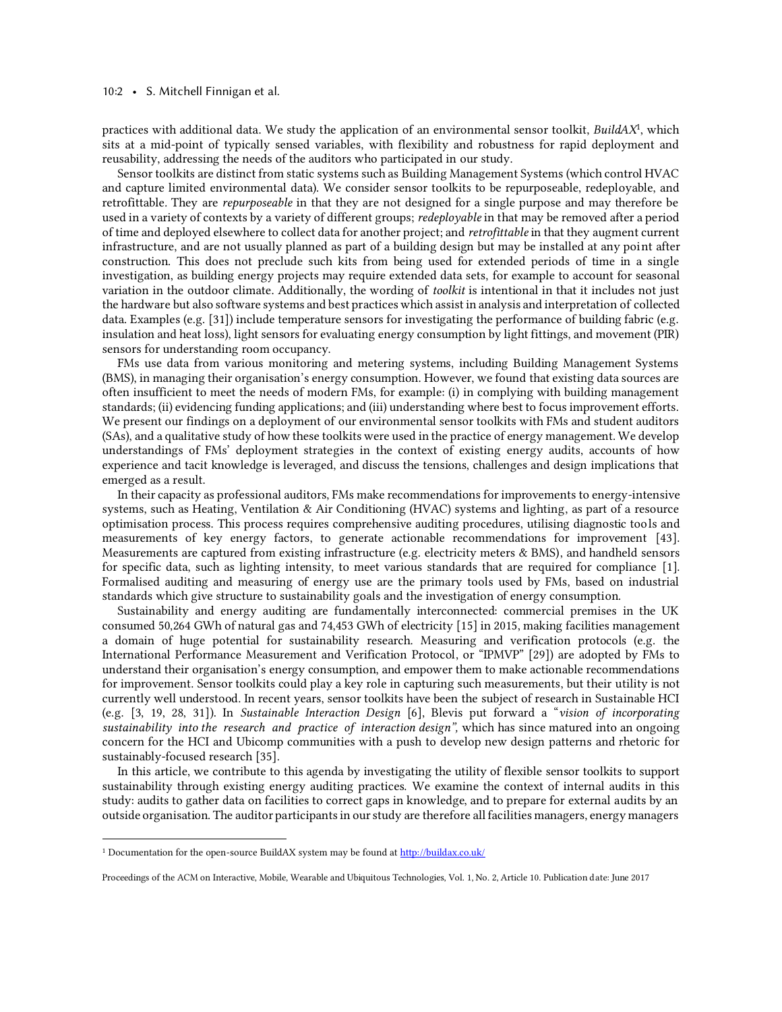#### 10:2 • S. Mitchell Finnigan et al.

practices with additional data. We study the application of an environmental sensor toolkit, *BuildAX<sup>1</sup>*, which sits at a mid-point of typically sensed variables, with flexibility and robustness for rapid deployment and reusability, addressing the needs of the auditors who participated in our study.

Sensor toolkits are distinct from static systems such as Building Management Systems (which control HVAC and capture limited environmental data). We consider sensor toolkits to be repurposeable, redeployable, and retrofittable*.* They are *repurposeable* in that they are not designed for a single purpose and may therefore be used in a variety of contexts by a variety of different groups; *redeployable* in that may be removed after a period of time and deployed elsewhere to collect data for another project; and *retrofittable* in that they augment current infrastructure, and are not usually planned as part of a building design but may be installed at any point after construction. This does not preclude such kits from being used for extended periods of time in a single investigation, as building energy projects may require extended data sets, for example to account for seasonal variation in the outdoor climate. Additionally, the wording of *toolkit* is intentional in that it includes not just the hardware but also software systems and best practices which assist in analysis and interpretation of collected data. Examples (e.g. [31]) include temperature sensors for investigating the performance of building fabric (e.g. insulation and heat loss), light sensors for evaluating energy consumption by light fittings, and movement (PIR) sensors for understanding room occupancy.

FMs use data from various monitoring and metering systems, including Building Management Systems (BMS), in managing their organisation's energy consumption. However, we found that existing data sources are often insufficient to meet the needs of modern FMs, for example: (i) in complying with building management standards; (ii) evidencing funding applications; and (iii) understanding where best to focus improvement efforts. We present our findings on a deployment of our environmental sensor toolkits with FMs and student auditors (SAs), and a qualitative study of how these toolkits were used in the practice of energy management. We develop understandings of FMs' deployment strategies in the context of existing energy audits, accounts of how experience and tacit knowledge is leveraged, and discuss the tensions, challenges and design implications that emerged as a result.

In their capacity as professional auditors, FMs make recommendations for improvements to energy-intensive systems, such as Heating, Ventilation & Air Conditioning (HVAC) systems and lighting, as part of a resource optimisation process. This process requires comprehensive auditing procedures, utilising diagnostic tools and measurements of key energy factors, to generate actionable recommendations for improvement [43]. Measurements are captured from existing infrastructure (e.g. electricity meters & BMS), and handheld sensors for specific data, such as lighting intensity, to meet various standards that are required for compliance [1]. Formalised auditing and measuring of energy use are the primary tools used by FMs, based on industrial standards which give structure to sustainability goals and the investigation of energy consumption.

Sustainability and energy auditing are fundamentally interconnected: commercial premises in the UK consumed 50,264 GWh of natural gas and 74,453 GWh of electricity [15] in 2015, making facilities management a domain of huge potential for sustainability research. Measuring and verification protocols (e.g. the International Performance Measurement and Verification Protocol, or "IPMVP" [29]) are adopted by FMs to understand their organisation's energy consumption, and empower them to make actionable recommendations for improvement. Sensor toolkits could play a key role in capturing such measurements, but their utility is not currently well understood. In recent years, sensor toolkits have been the subject of research in Sustainable HCI (e.g. [3, 19, 28, 31]). In *Sustainable Interaction Design* [6], Blevis put forward a "*vision of incorporating sustainability into the research and practice of interaction design",* which has since matured into an ongoing concern for the HCI and Ubicomp communities with a push to develop new design patterns and rhetoric for sustainably-focused research [35].

In this article, we contribute to this agenda by investigating the utility of flexible sensor toolkits to support sustainability through existing energy auditing practices. We examine the context of internal audits in this study: audits to gather data on facilities to correct gaps in knowledge, and to prepare for external audits by an outside organisation. The auditor participants in our study are therefore all facilities managers, energy managers

 $\overline{a}$ 

<sup>1</sup> Documentation for the open-source BuildAX system may be found a[t http://buildax.co.uk/](http://buildax.co.uk/)

Proceedings of the ACM on Interactive, Mobile, Wearable and Ubiquitous Technologies, Vol. 1, No. 2, Article 10. Publication date: June 2017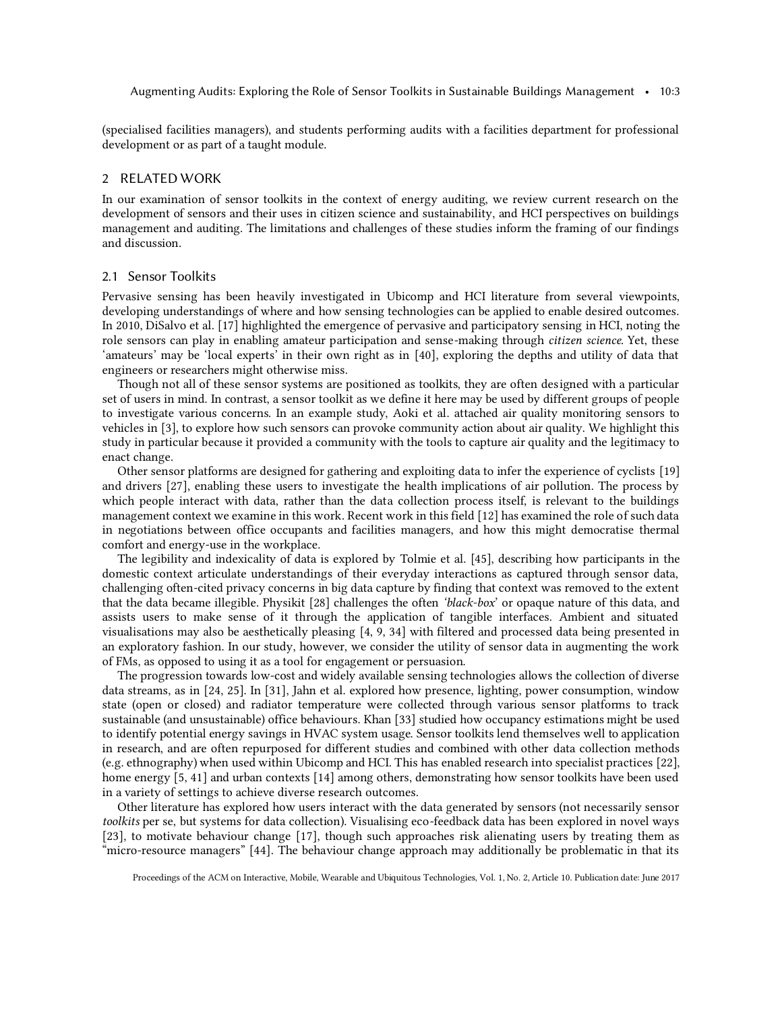(specialised facilities managers), and students performing audits with a facilities department for professional development or as part of a taught module.

#### 2 RELATED WORK

In our examination of sensor toolkits in the context of energy auditing, we review current research on the development of sensors and their uses in citizen science and sustainability, and HCI perspectives on buildings management and auditing. The limitations and challenges of these studies inform the framing of our findings and discussion.

#### 2.1 Sensor Toolkits

Pervasive sensing has been heavily investigated in Ubicomp and HCI literature from several viewpoints, developing understandings of where and how sensing technologies can be applied to enable desired outcomes. In 2010, DiSalvo et al. [17] highlighted the emergence of pervasive and participatory sensing in HCI, noting the role sensors can play in enabling amateur participation and sense-making through *citizen science*. Yet, these 'amateurs' may be 'local experts' in their own right as in [40], exploring the depths and utility of data that engineers or researchers might otherwise miss.

Though not all of these sensor systems are positioned as toolkits, they are often designed with a particular set of users in mind. In contrast, a sensor toolkit as we define it here may be used by different groups of people to investigate various concerns. In an example study, Aoki et al. attached air quality monitoring sensors to vehicles in [3], to explore how such sensors can provoke community action about air quality. We highlight this study in particular because it provided a community with the tools to capture air quality and the legitimacy to enact change.

Other sensor platforms are designed for gathering and exploiting data to infer the experience of cyclists [19] and drivers [27], enabling these users to investigate the health implications of air pollution. The process by which people interact with data, rather than the data collection process itself, is relevant to the buildings management context we examine in this work. Recent work in this field [12] has examined the role of such data in negotiations between office occupants and facilities managers, and how this might democratise thermal comfort and energy-use in the workplace.

The legibility and indexicality of data is explored by Tolmie et al. [45], describing how participants in the domestic context articulate understandings of their everyday interactions as captured through sensor data, challenging often-cited privacy concerns in big data capture by finding that context was removed to the extent that the data became illegible. Physikit [28] challenges the often *'black-box*' or opaque nature of this data, and assists users to make sense of it through the application of tangible interfaces. Ambient and situated visualisations may also be aesthetically pleasing [4, 9, 34] with filtered and processed data being presented in an exploratory fashion. In our study, however, we consider the utility of sensor data in augmenting the work of FMs, as opposed to using it as a tool for engagement or persuasion.

The progression towards low-cost and widely available sensing technologies allows the collection of diverse data streams, as in [24, 25]. In [31], Jahn et al. explored how presence, lighting, power consumption, window state (open or closed) and radiator temperature were collected through various sensor platforms to track sustainable (and unsustainable) office behaviours. Khan [33] studied how occupancy estimations might be used to identify potential energy savings in HVAC system usage. Sensor toolkits lend themselves well to application in research, and are often repurposed for different studies and combined with other data collection methods (e.g. ethnography) when used within Ubicomp and HCI. This has enabled research into specialist practices [22], home energy [5, 41] and urban contexts [14] among others, demonstrating how sensor toolkits have been used in a variety of settings to achieve diverse research outcomes.

Other literature has explored how users interact with the data generated by sensors (not necessarily sensor *toolkits* per se, but systems for data collection). Visualising eco-feedback data has been explored in novel ways [23], to motivate behaviour change [17], though such approaches risk alienating users by treating them as "micro-resource managers" [44]. The behaviour change approach may additionally be problematic in that its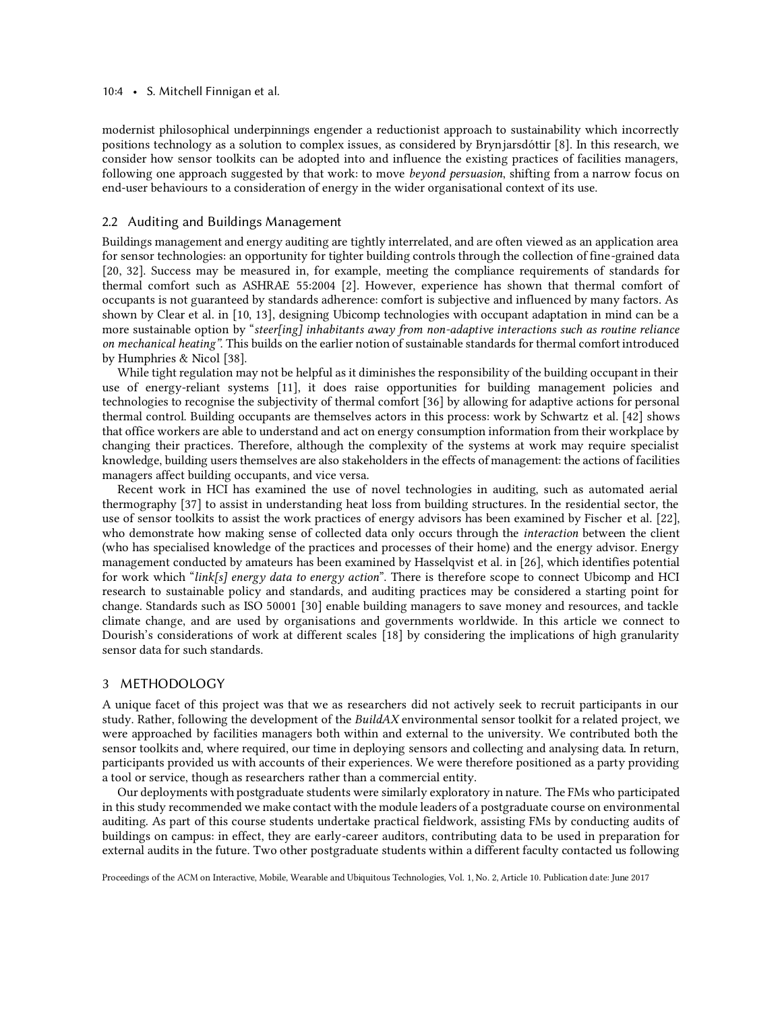#### 10:4 • S. Mitchell Finnigan et al.

modernist philosophical underpinnings engender a reductionist approach to sustainability which incorrectly positions technology as a solution to complex issues, as considered by Brynjarsdóttir [8]. In this research, we consider how sensor toolkits can be adopted into and influence the existing practices of facilities managers, following one approach suggested by that work: to move *beyond persuasion*, shifting from a narrow focus on end-user behaviours to a consideration of energy in the wider organisational context of its use.

#### 2.2 Auditing and Buildings Management

Buildings management and energy auditing are tightly interrelated, and are often viewed as an application area for sensor technologies: an opportunity for tighter building controls through the collection of fine-grained data [20, 32]. Success may be measured in, for example, meeting the compliance requirements of standards for thermal comfort such as ASHRAE 55:2004 [2]. However, experience has shown that thermal comfort of occupants is not guaranteed by standards adherence: comfort is subjective and influenced by many factors. As shown by Clear et al. in [10, 13], designing Ubicomp technologies with occupant adaptation in mind can be a more sustainable option by "*steer[ing] inhabitants away from non-adaptive interactions such as routine reliance on mechanical heating"*. This builds on the earlier notion of sustainable standards for thermal comfort introduced by Humphries & Nicol [38].

While tight regulation may not be helpful as it diminishes the responsibility of the building occupant in their use of energy-reliant systems [11], it does raise opportunities for building management policies and technologies to recognise the subjectivity of thermal comfort [36] by allowing for adaptive actions for personal thermal control. Building occupants are themselves actors in this process: work by Schwartz et al. [42] shows that office workers are able to understand and act on energy consumption information from their workplace by changing their practices. Therefore, although the complexity of the systems at work may require specialist knowledge, building users themselves are also stakeholders in the effects of management: the actions of facilities managers affect building occupants, and vice versa.

Recent work in HCI has examined the use of novel technologies in auditing, such as automated aerial thermography [37] to assist in understanding heat loss from building structures. In the residential sector, the use of sensor toolkits to assist the work practices of energy advisors has been examined by Fischer et al. [22], who demonstrate how making sense of collected data only occurs through the *interaction* between the client (who has specialised knowledge of the practices and processes of their home) and the energy advisor. Energy management conducted by amateurs has been examined by Hasselqvist et al. in [26], which identifies potential for work which "*link[s] energy data to energy action*". There is therefore scope to connect Ubicomp and HCI research to sustainable policy and standards, and auditing practices may be considered a starting point for change. Standards such as ISO 50001 [30] enable building managers to save money and resources, and tackle climate change, and are used by organisations and governments worldwide. In this article we connect to Dourish's considerations of work at different scales [18] by considering the implications of high granularity sensor data for such standards.

#### 3 METHODOLOGY

A unique facet of this project was that we as researchers did not actively seek to recruit participants in our study. Rather, following the development of the *BuildAX* environmental sensor toolkit for a related project, we were approached by facilities managers both within and external to the university. We contributed both the sensor toolkits and, where required, our time in deploying sensors and collecting and analysing data. In return, participants provided us with accounts of their experiences. We were therefore positioned as a party providing a tool or service, though as researchers rather than a commercial entity.

Our deployments with postgraduate students were similarly exploratory in nature. The FMs who participated in this study recommended we make contact with the module leaders of a postgraduate course on environmental auditing. As part of this course students undertake practical fieldwork, assisting FMs by conducting audits of buildings on campus: in effect, they are early-career auditors, contributing data to be used in preparation for external audits in the future. Two other postgraduate students within a different faculty contacted us following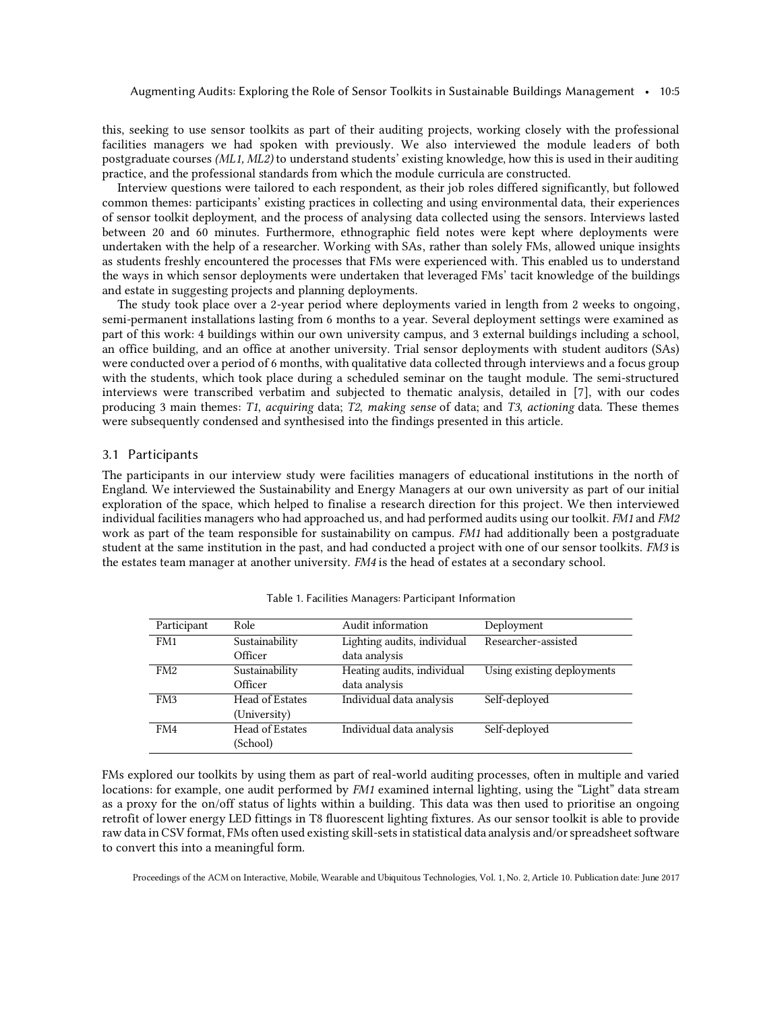this, seeking to use sensor toolkits as part of their auditing projects, working closely with the professional facilities managers we had spoken with previously. We also interviewed the module leaders of both postgraduate courses *(ML1, ML2)* to understand students' existing knowledge, how this is used in their auditing practice, and the professional standards from which the module curricula are constructed.

Interview questions were tailored to each respondent, as their job roles differed significantly, but followed common themes: participants' existing practices in collecting and using environmental data, their experiences of sensor toolkit deployment, and the process of analysing data collected using the sensors. Interviews lasted between 20 and 60 minutes. Furthermore, ethnographic field notes were kept where deployments were undertaken with the help of a researcher. Working with SAs, rather than solely FMs, allowed unique insights as students freshly encountered the processes that FMs were experienced with. This enabled us to understand the ways in which sensor deployments were undertaken that leveraged FMs' tacit knowledge of the buildings and estate in suggesting projects and planning deployments.

The study took place over a 2-year period where deployments varied in length from 2 weeks to ongoing, semi-permanent installations lasting from 6 months to a year. Several deployment settings were examined as part of this work: 4 buildings within our own university campus, and 3 external buildings including a school, an office building, and an office at another university. Trial sensor deployments with student auditors (SAs) were conducted over a period of 6 months, with qualitative data collected through interviews and a focus group with the students, which took place during a scheduled seminar on the taught module. The semi-structured interviews were transcribed verbatim and subjected to thematic analysis, detailed in [7], with our codes producing 3 main themes: *T1*, *acquiring* data; *T2*, *making sense* of data; and *T3*, *actioning* data. These themes were subsequently condensed and synthesised into the findings presented in this article.

#### 3.1 Participants

The participants in our interview study were facilities managers of educational institutions in the north of England. We interviewed the Sustainability and Energy Managers at our own university as part of our initial exploration of the space, which helped to finalise a research direction for this project. We then interviewed individual facilities managers who had approached us, and had performed audits using our toolkit. *FM1* and *FM2* work as part of the team responsible for sustainability on campus. *FM1* had additionally been a postgraduate student at the same institution in the past, and had conducted a project with one of our sensor toolkits. *FM3* is the estates team manager at another university. *FM4* is the head of estates at a secondary school.

| Participant     | Role            | Audit information           | Deployment                 |
|-----------------|-----------------|-----------------------------|----------------------------|
|                 |                 |                             |                            |
| FM1             | Sustainability  | Lighting audits, individual | Researcher-assisted        |
|                 | Officer         | data analysis               |                            |
| FM2             | Sustainability  | Heating audits, individual  | Using existing deployments |
|                 | Officer         | data analysis               |                            |
| FM <sub>3</sub> | Head of Estates | Individual data analysis    | Self-deployed              |
|                 | (University)    |                             |                            |
| FM4             | Head of Estates | Individual data analysis    | Self-deployed              |
|                 | (School)        |                             |                            |

Table 1. Facilities Managers: Participant Information

FMs explored our toolkits by using them as part of real-world auditing processes, often in multiple and varied locations: for example, one audit performed by *FM1* examined internal lighting, using the "Light" data stream as a proxy for the on/off status of lights within a building. This data was then used to prioritise an ongoing retrofit of lower energy LED fittings in T8 fluorescent lighting fixtures. As our sensor toolkit is able to provide raw data in CSV format, FMs often used existing skill-sets in statistical data analysis and/or spreadsheet software to convert this into a meaningful form.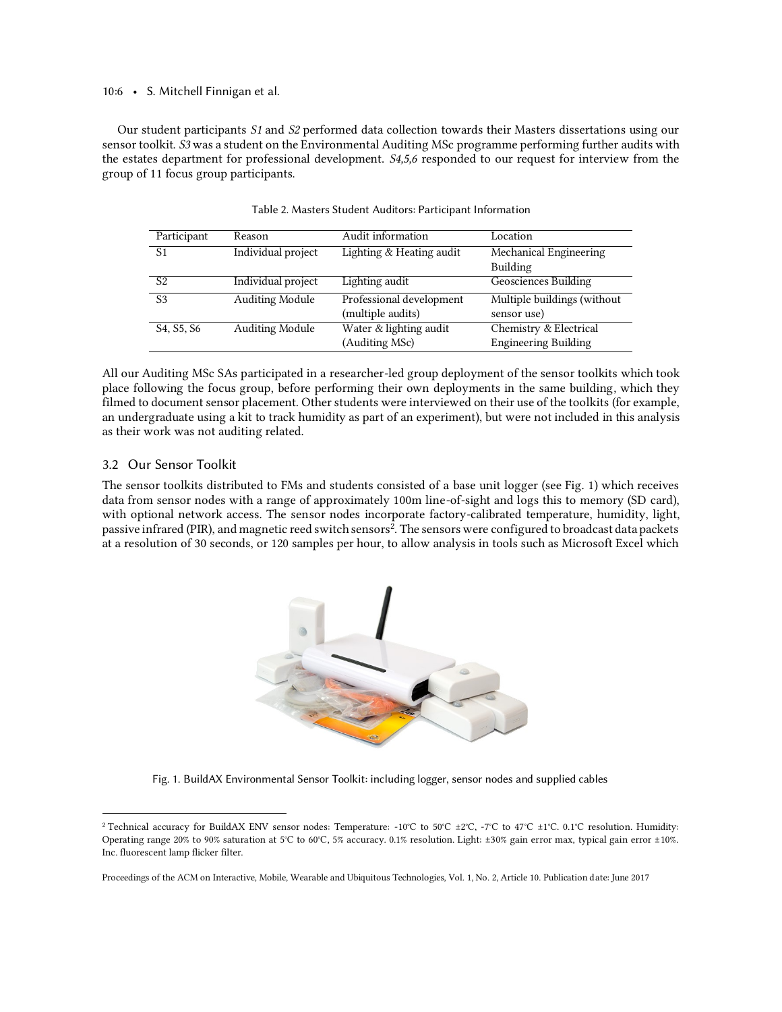#### 10:6 • S. Mitchell Finnigan et al.

Our student participants *S1* and *S2* performed data collection towards their Masters dissertations using our sensor toolkit. *S3* was a student on the Environmental Auditing MSc programme performing further audits with the estates department for professional development. *S4,5,6* responded to our request for interview from the group of 11 focus group participants.

| Participant                                      | Reason                 | Audit information        | Location                    |
|--------------------------------------------------|------------------------|--------------------------|-----------------------------|
| S <sub>1</sub>                                   | Individual project     | Lighting & Heating audit | Mechanical Engineering      |
|                                                  |                        |                          | Building                    |
| S <sub>2</sub>                                   | Individual project     | Lighting audit           | Geosciences Building        |
| S <sub>3</sub>                                   | <b>Auditing Module</b> | Professional development | Multiple buildings (without |
|                                                  |                        | (multiple audits)        | sensor use)                 |
| S <sub>4</sub> , S <sub>5</sub> , S <sub>6</sub> | <b>Auditing Module</b> | Water & lighting audit   | Chemistry & Electrical      |
|                                                  |                        | (Auditing MSc)           | <b>Engineering Building</b> |

Table 2. Masters Student Auditors: Participant Information

All our Auditing MSc SAs participated in a researcher-led group deployment of the sensor toolkits which took place following the focus group, before performing their own deployments in the same building, which they filmed to document sensor placement. Other students were interviewed on their use of the toolkits (for example, an undergraduate using a kit to track humidity as part of an experiment), but were not included in this analysis as their work was not auditing related.

# 3.2 Our Sensor Toolkit

j

The sensor toolkits distributed to FMs and students consisted of a base unit logger (see Fig. 1) which receives data from sensor nodes with a range of approximately 100m line-of-sight and logs this to memory (SD card), with optional network access. The sensor nodes incorporate factory-calibrated temperature, humidity, light, passive infrared (PIR), and magnetic reed switch sensors<sup>2</sup>. The sensors were configured to broadcast data packets at a resolution of 30 seconds, or 120 samples per hour, to allow analysis in tools such as Microsoft Excel which



Fig. 1. BuildAX Environmental Sensor Toolkit: including logger, sensor nodes and supplied cables

<sup>2</sup> Technical accuracy for BuildAX ENV sensor nodes: Temperature: -10°C to 50°C ±2°C, -7°C to 47°C ±1°C. 0.1°C resolution. Humidity: Operating range 20% to 90% saturation at 5°C to 60°C, 5% accuracy. 0.1% resolution. Light: ±30% gain error max, typical gain error ±10%. Inc. fluorescent lamp flicker filter.

Proceedings of the ACM on Interactive, Mobile, Wearable and Ubiquitous Technologies, Vol. 1, No. 2, Article 10. Publication date: June 2017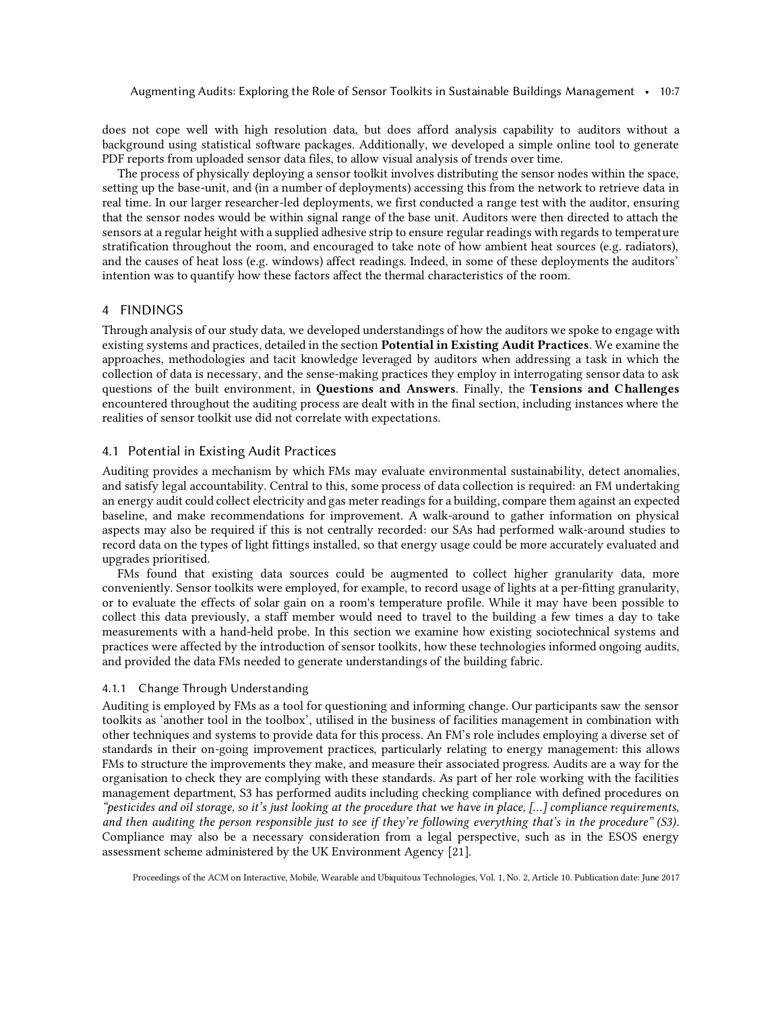does not cope well with high resolution data, but does afford analysis capability to auditors without a background using statistical software packages. Additionally, we developed a simple online tool to generate PDF reports from uploaded sensor data files, to allow visual analysis of trends over time.

The process of physically deploying a sensor toolkit involves distributing the sensor nodes within the space, setting up the base-unit, and (in a number of deployments) accessing this from the network to retrieve data in real time. In our larger researcher-led deployments, we first conducted a range test with the auditor, ensuring that the sensor nodes would be within signal range of the base unit. Auditors were then directed to attach the sensors at a regular height with a supplied adhesive strip to ensure regular readings with regards to temperature stratification throughout the room, and encouraged to take note of how ambient heat sources (e.g. radiators), and the causes of heat loss (e.g. windows) affect readings. Indeed, in some of these deployments the auditors' intention was to quantify how these factors affect the thermal characteristics of the room.

# 4 FINDINGS

Through analysis of our study data, we developed understandings of how the auditors we spoke to engage with existing systems and practices, detailed in the section Potential in Existing Audit Practices. We examine the approaches, methodologies and tacit knowledge leveraged by auditors when addressing a task in which the collection of data is necessary, and the sense-making practices they employ in interrogating sensor data to ask questions of the built environment, in Questions and Answers. Finally, the Tensions and Challenges encountered throughout the auditing process are dealt with in the final section, including instances where the realities of sensor toolkit use did not correlate with expectations.

# 4.1 Potential in Existing Audit Practices

Auditing provides a mechanism by which FMs may evaluate environmental sustainability, detect anomalies, and satisfy legal accountability. Central to this, some process of data collection is required: an FM undertaking an energy audit could collect electricity and gas meter readings for a building, compare them against an expected baseline, and make recommendations for improvement. A walk-around to gather information on physical aspects may also be required if this is not centrally recorded: our SAs had performed walk-around studies to record data on the types of light fittings installed, so that energy usage could be more accurately evaluated and upgrades prioritised.

FMs found that existing data sources could be augmented to collect higher granularity data, more conveniently. Sensor toolkits were employed, for example, to record usage of lights at a per-fitting granularity, or to evaluate the effects of solar gain on a room's temperature profile. While it may have been possible to collect this data previously, a staff member would need to travel to the building a few times a day to take measurements with a hand-held probe. In this section we examine how existing sociotechnical systems and practices were affected by the introduction of sensor toolkits, how these technologies informed ongoing audits, and provided the data FMs needed to generate understandings of the building fabric.

### 4.1.1 Change Through Understanding

Auditing is employed by FMs as a tool for questioning and informing change. Our participants saw the sensor toolkits as 'another tool in the toolbox', utilised in the business of facilities management in combination with other techniques and systems to provide data for this process. An FM's role includes employing a diverse set of standards in their on-going improvement practices, particularly relating to energy management: this allows FMs to structure the improvements they make, and measure their associated progress. Audits are a way for the organisation to check they are complying with these standards. As part of her role working with the facilities management department, S3 has performed audits including checking compliance with defined procedures on *"pesticides and oil storage, so it's just looking at the procedure that we have in place, […] compliance requirements, and then auditing the person responsible just to see if they're following everything that's in the procedure" (S3).* Compliance may also be a necessary consideration from a legal perspective, such as in the ESOS energy assessment scheme administered by the UK Environment Agency [21].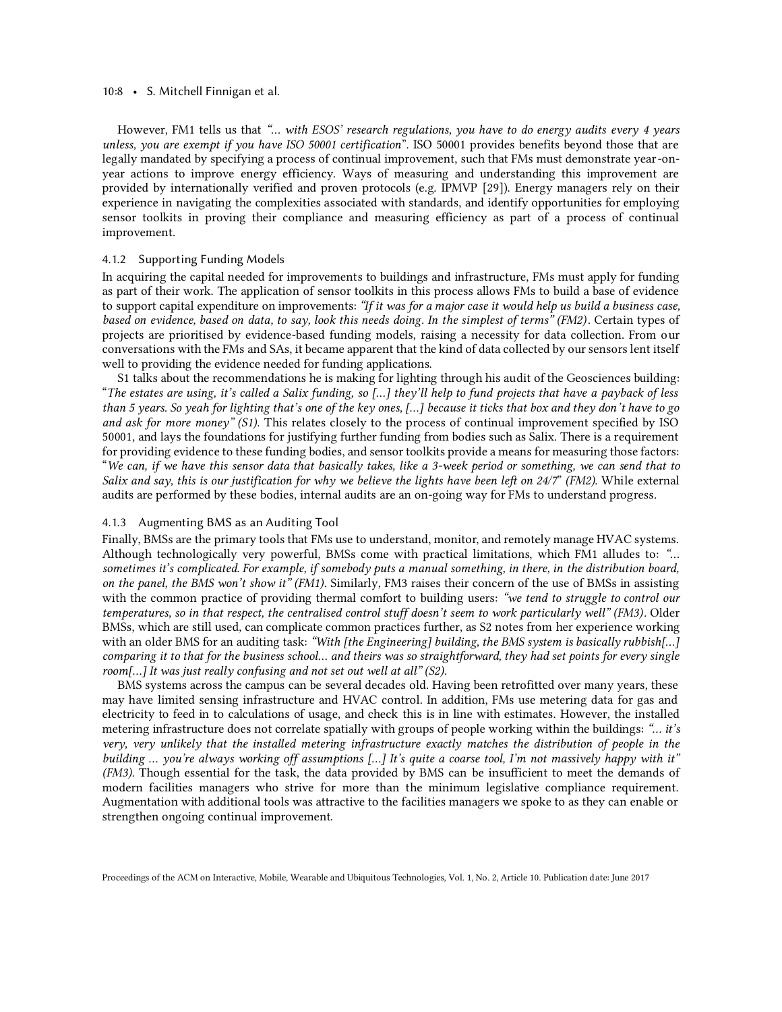#### 10:8 • S. Mitchell Finnigan et al.

However, FM1 tells us that *"… with ESOS' research regulations, you have to do energy audits every 4 years unless, you are exempt if you have ISO 50001 certification*". ISO 50001 provides benefits beyond those that are legally mandated by specifying a process of continual improvement, such that FMs must demonstrate year-onyear actions to improve energy efficiency. Ways of measuring and understanding this improvement are provided by internationally verified and proven protocols (e.g. IPMVP [29]). Energy managers rely on their experience in navigating the complexities associated with standards, and identify opportunities for employing sensor toolkits in proving their compliance and measuring efficiency as part of a process of continual improvement.

# 4.1.2 Supporting Funding Models

In acquiring the capital needed for improvements to buildings and infrastructure, FMs must apply for funding as part of their work. The application of sensor toolkits in this process allows FMs to build a base of evidence to support capital expenditure on improvements: *"If it was for a major case it would help us build a business case, based on evidence, based on data, to say, look this needs doing. In the simplest of terms" (FM2).* Certain types of projects are prioritised by evidence-based funding models, raising a necessity for data collection. From our conversations with the FMs and SAs, it became apparent that the kind of data collected by our sensors lent itself well to providing the evidence needed for funding applications.

S1 talks about the recommendations he is making for lighting through his audit of the Geosciences building: "*The estates are using, it's called a Salix funding, so […] they'll help to fund projects that have a payback of less than 5 years. So yeah for lighting that's one of the key ones, […] because it ticks that box and they don't have to go and ask for more money" (S1)*. This relates closely to the process of continual improvement specified by ISO 50001, and lays the foundations for justifying further funding from bodies such as Salix. There is a requirement for providing evidence to these funding bodies, and sensor toolkits provide a means for measuring those factors: "*We can, if we have this sensor data that basically takes, like a 3-week period or something, we can send that to Salix and say, this is our justification for why we believe the lights have been left on 24/7*" *(FM2)*. While external audits are performed by these bodies, internal audits are an on-going way for FMs to understand progress.

# 4.1.3 Augmenting BMS as an Auditing Tool

Finally, BMSs are the primary tools that FMs use to understand, monitor, and remotely manage HVAC systems. Although technologically very powerful, BMSs come with practical limitations, which FM1 alludes to: *"… sometimes it's complicated. For example, if somebody puts a manual something, in there, in the distribution board, on the panel, the BMS won't show it" (FM1).* Similarly, FM3 raises their concern of the use of BMSs in assisting with the common practice of providing thermal comfort to building users: *"we tend to struggle to control our temperatures, so in that respect, the centralised control stuff doesn't seem to work particularly well" (FM3).* Older BMSs, which are still used, can complicate common practices further, as S2 notes from her experience working with an older BMS for an auditing task: "With [the Engineering] building, the BMS system is basically rubbish[...] *comparing it to that for the business school… and theirs was so straightforward, they had set points for every single room[…] It was just really confusing and not set out well at all" (S2).*

BMS systems across the campus can be several decades old. Having been retrofitted over many years, these may have limited sensing infrastructure and HVAC control. In addition, FMs use metering data for gas and electricity to feed in to calculations of usage, and check this is in line with estimates. However, the installed metering infrastructure does not correlate spatially with groups of people working within the buildings: *"… it's very, very unlikely that the installed metering infrastructure exactly matches the distribution of people in the building … you're always working off assumptions […] It's quite a coarse tool, I'm not massively happy with it" (FM3).* Though essential for the task, the data provided by BMS can be insufficient to meet the demands of modern facilities managers who strive for more than the minimum legislative compliance requirement. Augmentation with additional tools was attractive to the facilities managers we spoke to as they can enable or strengthen ongoing continual improvement.

Proceedings of the ACM on Interactive, Mobile, Wearable and Ubiquitous Technologies, Vol. 1, No. 2, Article 10. Publication date: June 2017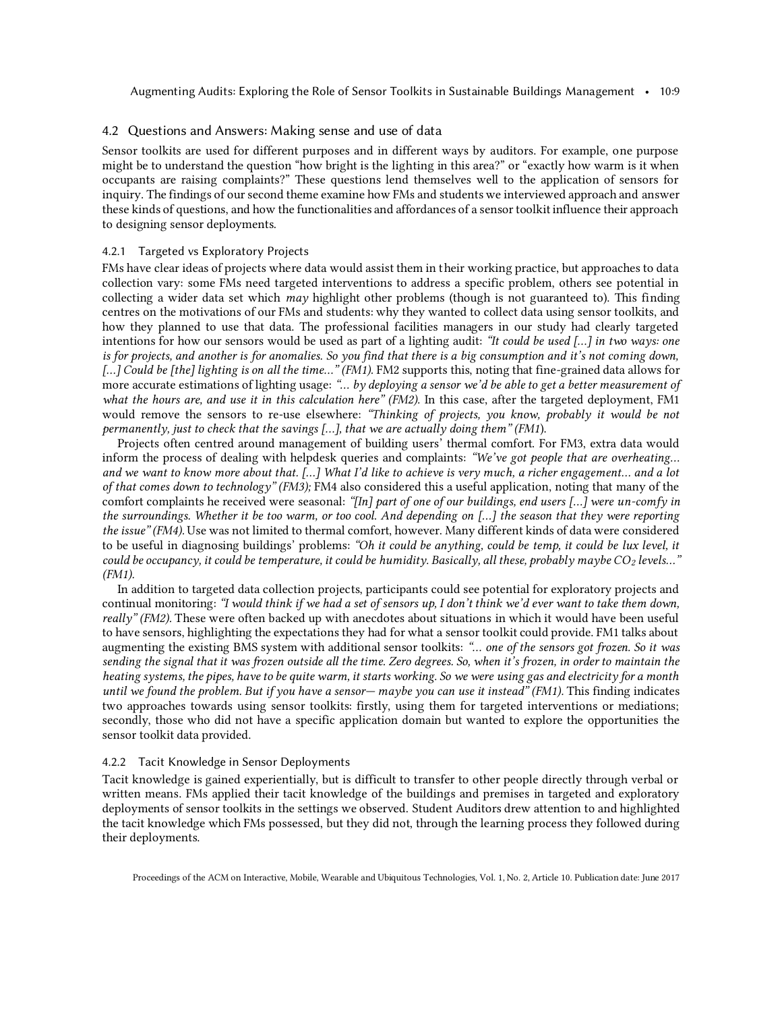#### 4.2 Questions and Answers: Making sense and use of data

Sensor toolkits are used for different purposes and in different ways by auditors. For example, one purpose might be to understand the question "how bright is the lighting in this area?" or "exactly how warm is it when occupants are raising complaints?" These questions lend themselves well to the application of sensors for inquiry. The findings of our second theme examine how FMs and students we interviewed approach and answer these kinds of questions, and how the functionalities and affordances of a sensor toolkit influence their approach to designing sensor deployments.

## 4.2.1 Targeted vs Exploratory Projects

FMs have clear ideas of projects where data would assist them in their working practice, but approaches to data collection vary: some FMs need targeted interventions to address a specific problem, others see potential in collecting a wider data set which *may* highlight other problems (though is not guaranteed to). This finding centres on the motivations of our FMs and students: why they wanted to collect data using sensor toolkits, and how they planned to use that data. The professional facilities managers in our study had clearly targeted intentions for how our sensors would be used as part of a lighting audit: *"It could be used […] in two ways: one is for projects, and another is for anomalies. So you find that there is a big consumption and it's not coming down, […] Could be [the] lighting is on all the time…" (FM1).* FM2 supports this, noting that fine-grained data allows for more accurate estimations of lighting usage: *"… by deploying a sensor we'd be able to get a better measurement of*  what the hours are, and use it in this calculation here" (FM2). In this case, after the targeted deployment, FM1 would remove the sensors to re-use elsewhere: *"Thinking of projects, you know, probably it would be not permanently, just to check that the savings […], that we are actually doing them" (FM1*).

Projects often centred around management of building users' thermal comfort. For FM3, extra data would inform the process of dealing with helpdesk queries and complaints: *"We've got people that are overheating… and we want to know more about that. […] What I'd like to achieve is very much, a richer engagement… and a lot of that comes down to technology" (FM3);* FM4 also considered this a useful application, noting that many of the comfort complaints he received were seasonal: *"[In] part of one of our buildings, end users […] were un-comfy in the surroundings. Whether it be too warm, or too cool. And depending on […] the season that they were reporting the issue" (FM4).* Use was not limited to thermal comfort, however. Many different kinds of data were considered to be useful in diagnosing buildings' problems: *"Oh it could be anything, could be temp, it could be lux level, it could be occupancy, it could be temperature, it could be humidity. Basically, all these, probably maybe CO<sup>2</sup> levels…" (FM1).*

In addition to targeted data collection projects, participants could see potential for exploratory projects and continual monitoring: *"I would think if we had a set of sensors up, I don't think we'd ever want to take them down, really" (FM2).* These were often backed up with anecdotes about situations in which it would have been useful to have sensors, highlighting the expectations they had for what a sensor toolkit could provide. FM1 talks about augmenting the existing BMS system with additional sensor toolkits: *"… one of the sensors got frozen. So it was sending the signal that it was frozen outside all the time. Zero degrees. So, when it's frozen, in order to maintain the heating systems, the pipes, have to be quite warm, it starts working. So we were using gas and electricity for a month until we found the problem. But if you have a sensor— maybe you can use it instead" (FM1).* This finding indicates two approaches towards using sensor toolkits: firstly, using them for targeted interventions or mediations; secondly, those who did not have a specific application domain but wanted to explore the opportunities the sensor toolkit data provided.

#### 4.2.2 Tacit Knowledge in Sensor Deployments

Tacit knowledge is gained experientially, but is difficult to transfer to other people directly through verbal or written means. FMs applied their tacit knowledge of the buildings and premises in targeted and exploratory deployments of sensor toolkits in the settings we observed. Student Auditors drew attention to and highlighted the tacit knowledge which FMs possessed, but they did not, through the learning process they followed during their deployments.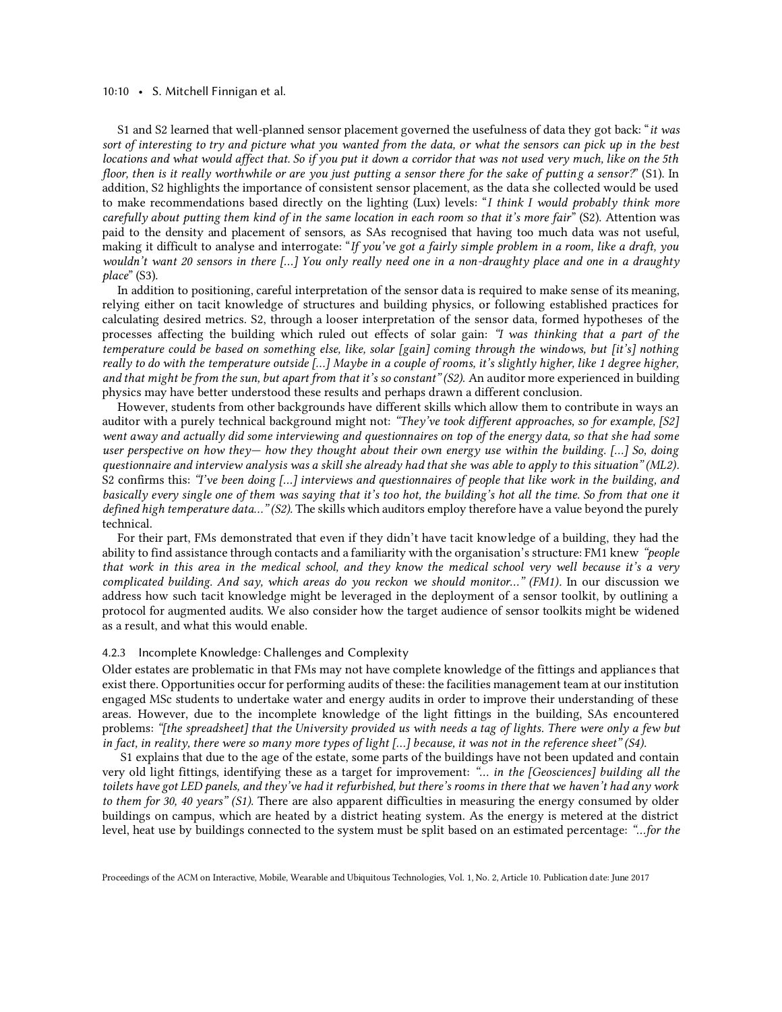#### 10:10 • S. Mitchell Finnigan et al.

S1 and S2 learned that well-planned sensor placement governed the usefulness of data they got back: "*it was sort of interesting to try and picture what you wanted from the data, or what the sensors can pick up in the best locations and what would affect that. So if you put it down a corridor that was not used very much, like on the 5th floor, then is it really worthwhile or are you just putting a sensor there for the sake of putting a sensor?*" (S1). In addition, S2 highlights the importance of consistent sensor placement, as the data she collected would be used to make recommendations based directly on the lighting (Lux) levels: "*I think I would probably think more carefully about putting them kind of in the same location in each room so that it's more fair*" (S2). Attention was paid to the density and placement of sensors, as SAs recognised that having too much data was not useful, making it difficult to analyse and interrogate: "*If you've got a fairly simple problem in a room, like a draft, you wouldn't want 20 sensors in there […] You only really need one in a non-draughty place and one in a draughty place*" (S3).

In addition to positioning, careful interpretation of the sensor data is required to make sense of its meaning, relying either on tacit knowledge of structures and building physics, or following established practices for calculating desired metrics. S2, through a looser interpretation of the sensor data, formed hypotheses of the processes affecting the building which ruled out effects of solar gain: *"I was thinking that a part of the temperature could be based on something else, like, solar [gain] coming through the windows, but [it's] nothing really to do with the temperature outside […] Maybe in a couple of rooms, it's slightly higher, like 1 degree higher, and that might be from the sun, but apart from that it's so constant" (S2).* An auditor more experienced in building physics may have better understood these results and perhaps drawn a different conclusion.

However, students from other backgrounds have different skills which allow them to contribute in ways an auditor with a purely technical background might not: *"They've took different approaches, so for example, [S2] went away and actually did some interviewing and questionnaires on top of the energy data, so that she had some user perspective on how they— how they thought about their own energy use within the building. […] So, doing questionnaire and interview analysis was a skill she already had that she was able to apply to this situation" (ML2).* S2 confirms this: *"I've been doing […] interviews and questionnaires of people that like work in the building, and basically every single one of them was saying that it's too hot, the building's hot all the time. So from that one it defined high temperature data…" (S2).* The skills which auditors employ therefore have a value beyond the purely technical.

For their part, FMs demonstrated that even if they didn't have tacit knowledge of a building, they had the ability to find assistance through contacts and a familiarity with the organisation's structure: FM1 knew *"people that work in this area in the medical school, and they know the medical school very well because it's a very complicated building. And say, which areas do you reckon we should monitor…" (FM1).* In our discussion we address how such tacit knowledge might be leveraged in the deployment of a sensor toolkit, by outlining a protocol for augmented audits. We also consider how the target audience of sensor toolkits might be widened as a result, and what this would enable.

#### 4.2.3 Incomplete Knowledge: Challenges and Complexity

Older estates are problematic in that FMs may not have complete knowledge of the fittings and appliances that exist there. Opportunities occur for performing audits of these: the facilities management team at our institution engaged MSc students to undertake water and energy audits in order to improve their understanding of these areas. However, due to the incomplete knowledge of the light fittings in the building, SAs encountered problems: *"[the spreadsheet] that the University provided us with needs a tag of lights. There were only a few but in fact, in reality, there were so many more types of light […] because, it was not in the reference sheet" (S4).*

S1 explains that due to the age of the estate, some parts of the buildings have not been updated and contain very old light fittings, identifying these as a target for improvement: *"… in the [Geosciences] building all the toilets have got LED panels, and they've had it refurbished, but there's rooms in there that we haven't had any work to them for 30, 40 years" (S1).* There are also apparent difficulties in measuring the energy consumed by older buildings on campus, which are heated by a district heating system. As the energy is metered at the district level, heat use by buildings connected to the system must be split based on an estimated percentage: *"…for the* 

Proceedings of the ACM on Interactive, Mobile, Wearable and Ubiquitous Technologies, Vol. 1, No. 2, Article 10. Publication date: June 2017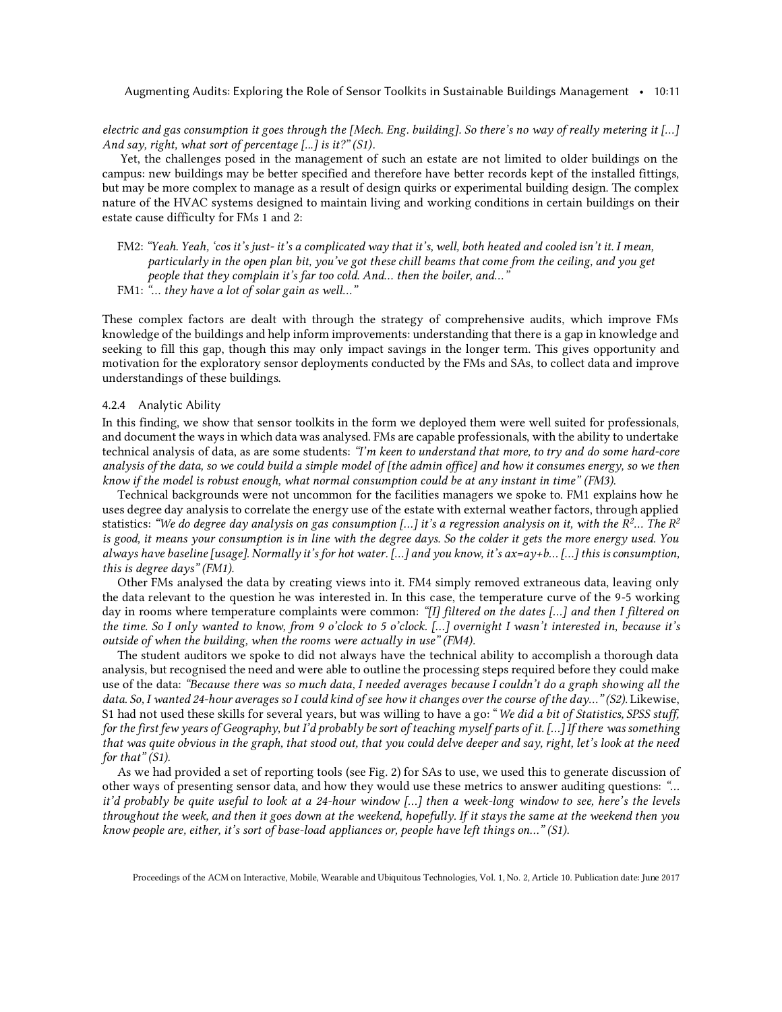*electric and gas consumption it goes through the [Mech. Eng. building]. So there's no way of really metering it […] And say, right, what sort of percentage [...] is it?" (S1).*

Yet, the challenges posed in the management of such an estate are not limited to older buildings on the campus: new buildings may be better specified and therefore have better records kept of the installed fittings, but may be more complex to manage as a result of design quirks or experimental building design. The complex nature of the HVAC systems designed to maintain living and working conditions in certain buildings on their estate cause difficulty for FMs 1 and 2:

FM2: *"Yeah. Yeah, 'cos it's just- it's a complicated way that it's, well, both heated and cooled isn't it. I mean, particularly in the open plan bit, you've got these chill beams that come from the ceiling, and you get people that they complain it's far too cold. And… then the boiler, and…"* 

FM1: *"… they have a lot of solar gain as well…"*

These complex factors are dealt with through the strategy of comprehensive audits, which improve FMs knowledge of the buildings and help inform improvements: understanding that there is a gap in knowledge and seeking to fill this gap, though this may only impact savings in the longer term. This gives opportunity and motivation for the exploratory sensor deployments conducted by the FMs and SAs, to collect data and improve understandings of these buildings.

#### 4.2.4 Analytic Ability

In this finding, we show that sensor toolkits in the form we deployed them were well suited for professionals, and document the ways in which data was analysed. FMs are capable professionals, with the ability to undertake technical analysis of data, as are some students: *"I'm keen to understand that more, to try and do some hard-core analysis of the data, so we could build a simple model of [the admin office] and how it consumes energy, so we then know if the model is robust enough, what normal consumption could be at any instant in time" (FM3).*

Technical backgrounds were not uncommon for the facilities managers we spoke to. FM1 explains how he uses degree day analysis to correlate the energy use of the estate with external weather factors, through applied statistics: *"We do degree day analysis on gas consumption […] it's a regression analysis on it, with the R2… The R<sup>2</sup> is good, it means your consumption is in line with the degree days. So the colder it gets the more energy used. You always have baseline [usage]. Normally it's for hot water. […] and you know, it's ax=ay+b… […] this is consumption, this is degree days" (FM1).*

Other FMs analysed the data by creating views into it. FM4 simply removed extraneous data, leaving only the data relevant to the question he was interested in. In this case, the temperature curve of the 9-5 working day in rooms where temperature complaints were common: *"[I] filtered on the dates […] and then I filtered on the time. So I only wanted to know, from 9 o'clock to 5 o'clock. […] overnight I wasn't interested in, because it's outside of when the building, when the rooms were actually in use" (FM4).*

The student auditors we spoke to did not always have the technical ability to accomplish a thorough data analysis, but recognised the need and were able to outline the processing steps required before they could make use of the data: *"Because there was so much data, I needed averages because I couldn't do a graph showing all the data. So, I wanted 24-hour averages so I could kind of see how it changes over the course of the day…" (S2).* Likewise, S1 had not used these skills for several years, but was willing to have a go: "*We did a bit of Statistics, SPSS stuff, for the first few years of Geography, but I'd probably be sort of teaching myself parts of it. […] If there was something that was quite obvious in the graph, that stood out, that you could delve deeper and say, right, let's look at the need for that" (S1).*

As we had provided a set of reporting tools (see Fig. 2) for SAs to use, we used this to generate discussion of other ways of presenting sensor data, and how they would use these metrics to answer auditing questions: *"… it'd probably be quite useful to look at a 24-hour window […] then a week-long window to see, here's the levels throughout the week, and then it goes down at the weekend, hopefully. If it stays the same at the weekend then you know people are, either, it's sort of base-load appliances or, people have left things on…" (S1).*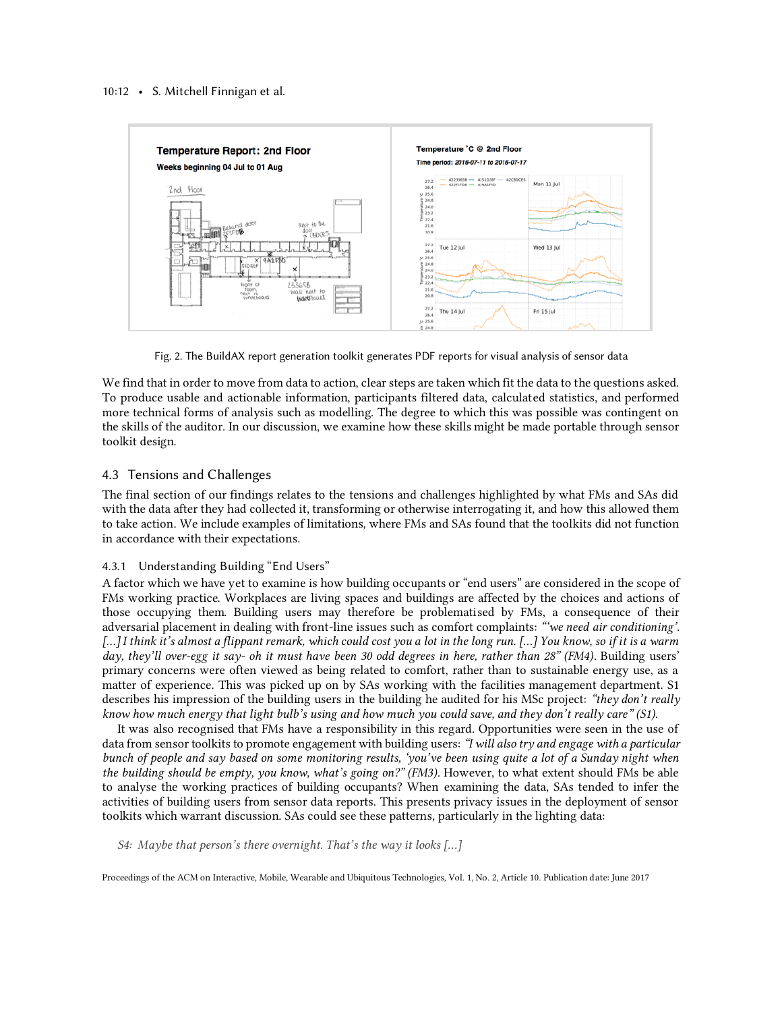

Fig. 2. The BuildAX report generation toolkit generates PDF reports for visual analysis of sensor data

We find that in order to move from data to action, clear steps are taken which fit the data to the questions asked. To produce usable and actionable information, participants filtered data, calculated statistics, and performed more technical forms of analysis such as modelling. The degree to which this was possible was contingent on the skills of the auditor. In our discussion, we examine how these skills might be made portable through sensor toolkit design.

# 4.3 Tensions and Challenges

The final section of our findings relates to the tensions and challenges highlighted by what FMs and SAs did with the data after they had collected it, transforming or otherwise interrogating it, and how this allowed them to take action. We include examples of limitations, where FMs and SAs found that the toolkits did not function in accordance with their expectations.

# 4.3.1 Understanding Building "End Users"

A factor which we have yet to examine is how building occupants or "end users" are considered in the scope of FMs working practice. Workplaces are living spaces and buildings are affected by the choices and actions of those occupying them. Building users may therefore be problematised by FMs, a consequence of their adversarial placement in dealing with front-line issues such as comfort complaints: *"'we need air conditioning'. […] I think it's almost a flippant remark, which could cost you a lot in the long run. […] You know, so if it is a warm day, they'll over-egg it say- oh it must have been 30 odd degrees in here, rather than 28" (FM4).* Building users' primary concerns were often viewed as being related to comfort, rather than to sustainable energy use, as a matter of experience. This was picked up on by SAs working with the facilities management department. S1 describes his impression of the building users in the building he audited for his MSc project: *"they don't really know how much energy that light bulb's using and how much you could save, and they don't really care" (S1).*

It was also recognised that FMs have a responsibility in this regard. Opportunities were seen in the use of data from sensor toolkits to promote engagement with building users: *"I will also try and engage with a particular bunch of people and say based on some monitoring results, 'you've been using quite a lot of a Sunday night when the building should be empty, you know, what's going on?" (FM3).* However, to what extent should FMs be able to analyse the working practices of building occupants? When examining the data, SAs tended to infer the activities of building users from sensor data reports. This presents privacy issues in the deployment of sensor toolkits which warrant discussion. SAs could see these patterns, particularly in the lighting data:

*S4: Maybe that person's there overnight. That's the way it looks […]*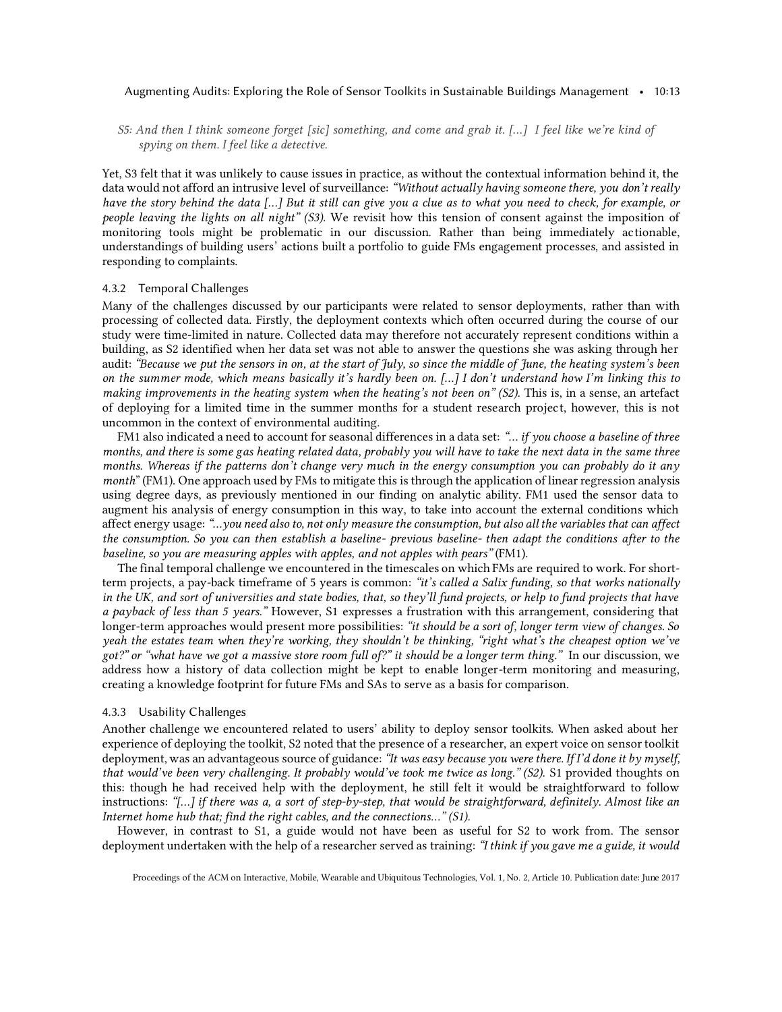*S5: And then I think someone forget [sic] something, and come and grab it. […] I feel like we're kind of spying on them. I feel like a detective.* 

Yet, S3 felt that it was unlikely to cause issues in practice, as without the contextual information behind it, the data would not afford an intrusive level of surveillance: *"Without actually having someone there, you don't really have the story behind the data […] But it still can give you a clue as to what you need to check, for example, or people leaving the lights on all night" (S3).* We revisit how this tension of consent against the imposition of monitoring tools might be problematic in our discussion. Rather than being immediately actionable, understandings of building users' actions built a portfolio to guide FMs engagement processes, and assisted in responding to complaints.

## 4.3.2 Temporal Challenges

Many of the challenges discussed by our participants were related to sensor deployments, rather than with processing of collected data. Firstly, the deployment contexts which often occurred during the course of our study were time-limited in nature. Collected data may therefore not accurately represent conditions within a building, as S2 identified when her data set was not able to answer the questions she was asking through her audit: *"Because we put the sensors in on, at the start of July, so since the middle of June, the heating system's been on the summer mode, which means basically it's hardly been on. […] I don't understand how I'm linking this to making improvements in the heating system when the heating's not been on" (S2).* This is, in a sense, an artefact of deploying for a limited time in the summer months for a student research project, however, this is not uncommon in the context of environmental auditing.

FM1 also indicated a need to account for seasonal differences in a data set: *"… if you choose a baseline of three months, and there is some gas heating related data, probably you will have to take the next data in the same three months. Whereas if the patterns don't change very much in the energy consumption you can probably do it any month*" (FM1). One approach used by FMs to mitigate this is through the application of linear regression analysis using degree days, as previously mentioned in our finding on analytic ability. FM1 used the sensor data to augment his analysis of energy consumption in this way, to take into account the external conditions which affect energy usage: *"…you need also to, not only measure the consumption, but also all the variables that can affect the consumption. So you can then establish a baseline- previous baseline- then adapt the conditions after to the baseline, so you are measuring apples with apples, and not apples with pears"* (FM1).

The final temporal challenge we encountered in the timescales on which FMs are required to work. For shortterm projects, a pay-back timeframe of 5 years is common: *"it's called a Salix funding, so that works nationally in the UK, and sort of universities and state bodies, that, so they'll fund projects, or help to fund projects that have a payback of less than 5 years."* However, S1 expresses a frustration with this arrangement, considering that longer-term approaches would present more possibilities: *"it should be a sort of, longer term view of changes. So yeah the estates team when they're working, they shouldn't be thinking, "right what's the cheapest option we've got?" or "what have we got a massive store room full of?" it should be a longer term thing."* In our discussion, we address how a history of data collection might be kept to enable longer-term monitoring and measuring, creating a knowledge footprint for future FMs and SAs to serve as a basis for comparison.

#### 4.3.3 Usability Challenges

Another challenge we encountered related to users' ability to deploy sensor toolkits. When asked about her experience of deploying the toolkit, S2 noted that the presence of a researcher, an expert voice on sensor toolkit deployment, was an advantageous source of guidance: *"It was easy because you were there. If I'd done it by myself, that would've been very challenging. It probably would've took me twice as long." (S2).* S1 provided thoughts on this: though he had received help with the deployment, he still felt it would be straightforward to follow instructions: *"[…] if there was a, a sort of step-by-step, that would be straightforward, definitely. Almost like an Internet home hub that; find the right cables, and the connections…" (S1).*

However, in contrast to S1, a guide would not have been as useful for S2 to work from. The sensor deployment undertaken with the help of a researcher served as training: *"I think if you gave me a guide, it would*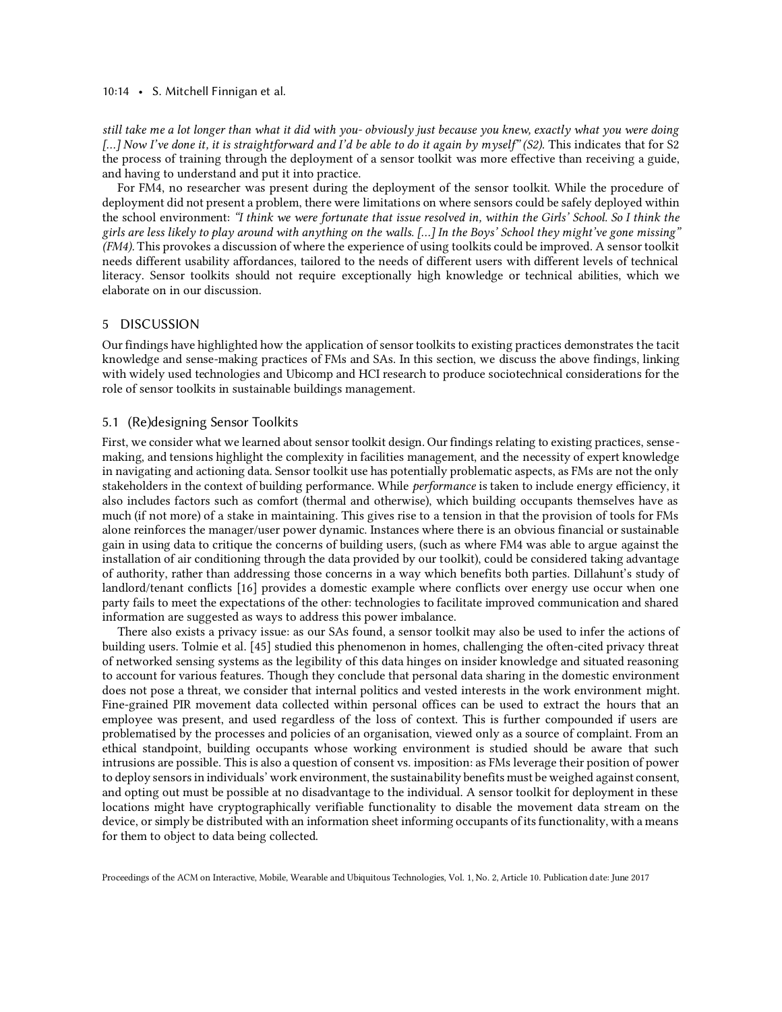#### 10:14 • S. Mitchell Finnigan et al.

*still take me a lot longer than what it did with you- obviously just because you knew, exactly what you were doing […] Now I've done it, it is straightforward and I'd be able to do it again by myself" (S2).* This indicates that for S2 the process of training through the deployment of a sensor toolkit was more effective than receiving a guide, and having to understand and put it into practice.

For FM4, no researcher was present during the deployment of the sensor toolkit. While the procedure of deployment did not present a problem, there were limitations on where sensors could be safely deployed within the school environment: *"I think we were fortunate that issue resolved in, within the Girls' School. So I think the girls are less likely to play around with anything on the walls. […] In the Boys' School they might've gone missing" (FM4).* This provokes a discussion of where the experience of using toolkits could be improved. A sensor toolkit needs different usability affordances, tailored to the needs of different users with different levels of technical literacy. Sensor toolkits should not require exceptionally high knowledge or technical abilities, which we elaborate on in our discussion.

# 5 DISCUSSION

Our findings have highlighted how the application of sensor toolkits to existing practices demonstrates the tacit knowledge and sense-making practices of FMs and SAs. In this section, we discuss the above findings, linking with widely used technologies and Ubicomp and HCI research to produce sociotechnical considerations for the role of sensor toolkits in sustainable buildings management.

# 5.1 (Re)designing Sensor Toolkits

First, we consider what we learned about sensor toolkit design. Our findings relating to existing practices, sensemaking, and tensions highlight the complexity in facilities management, and the necessity of expert knowledge in navigating and actioning data. Sensor toolkit use has potentially problematic aspects, as FMs are not the only stakeholders in the context of building performance. While *performance* is taken to include energy efficiency, it also includes factors such as comfort (thermal and otherwise), which building occupants themselves have as much (if not more) of a stake in maintaining. This gives rise to a tension in that the provision of tools for FMs alone reinforces the manager/user power dynamic. Instances where there is an obvious financial or sustainable gain in using data to critique the concerns of building users, (such as where FM4 was able to argue against the installation of air conditioning through the data provided by our toolkit), could be considered taking advantage of authority, rather than addressing those concerns in a way which benefits both parties. Dillahunt's study of landlord/tenant conflicts [16] provides a domestic example where conflicts over energy use occur when one party fails to meet the expectations of the other: technologies to facilitate improved communication and shared information are suggested as ways to address this power imbalance.

There also exists a privacy issue: as our SAs found, a sensor toolkit may also be used to infer the actions of building users. Tolmie et al. [45] studied this phenomenon in homes, challenging the often-cited privacy threat of networked sensing systems as the legibility of this data hinges on insider knowledge and situated reasoning to account for various features. Though they conclude that personal data sharing in the domestic environment does not pose a threat, we consider that internal politics and vested interests in the work environment might. Fine-grained PIR movement data collected within personal offices can be used to extract the hours that an employee was present, and used regardless of the loss of context. This is further compounded if users are problematised by the processes and policies of an organisation, viewed only as a source of complaint. From an ethical standpoint, building occupants whose working environment is studied should be aware that such intrusions are possible. This is also a question of consent vs. imposition: as FMs leverage their position of power to deploy sensors in individuals' work environment, the sustainability benefits must be weighed against consent, and opting out must be possible at no disadvantage to the individual. A sensor toolkit for deployment in these locations might have cryptographically verifiable functionality to disable the movement data stream on the device, or simply be distributed with an information sheet informing occupants of its functionality, with a means for them to object to data being collected.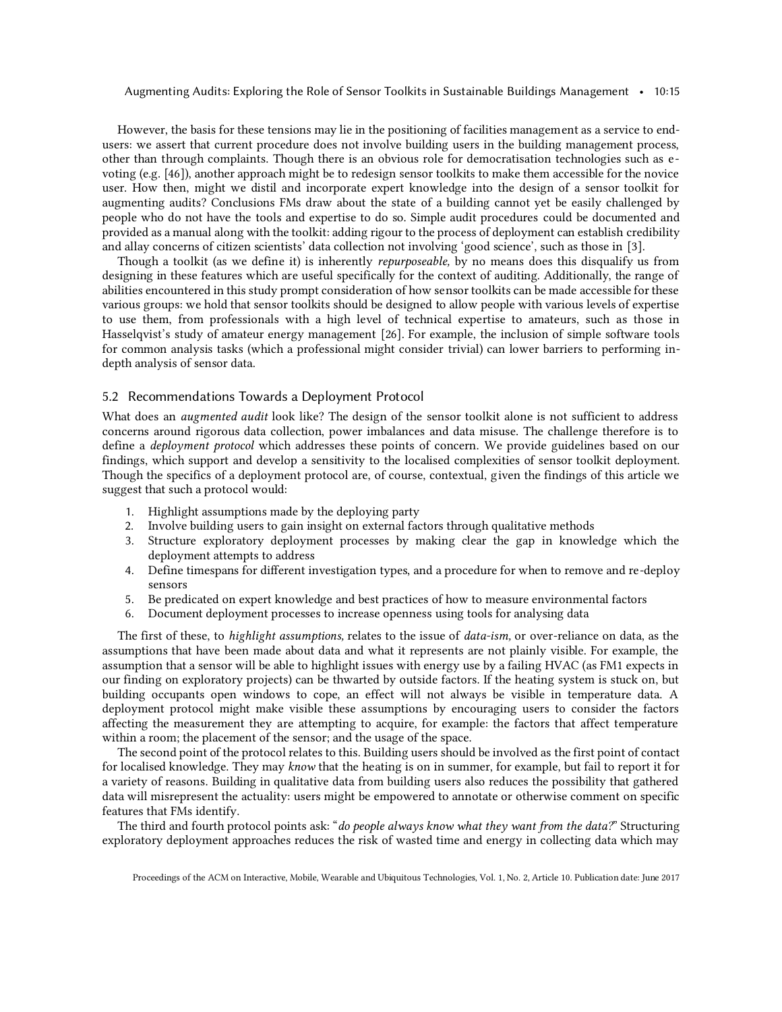However, the basis for these tensions may lie in the positioning of facilities management as a service to endusers: we assert that current procedure does not involve building users in the building management process, other than through complaints. Though there is an obvious role for democratisation technologies such as evoting (e.g. [46]), another approach might be to redesign sensor toolkits to make them accessible for the novice user. How then, might we distil and incorporate expert knowledge into the design of a sensor toolkit for augmenting audits? Conclusions FMs draw about the state of a building cannot yet be easily challenged by people who do not have the tools and expertise to do so. Simple audit procedures could be documented and provided as a manual along with the toolkit: adding rigour to the process of deployment can establish credibility and allay concerns of citizen scientists' data collection not involving 'good science', such as those in [3].

Though a toolkit (as we define it) is inherently *repurposeable,* by no means does this disqualify us from designing in these features which are useful specifically for the context of auditing. Additionally, the range of abilities encountered in this study prompt consideration of how sensor toolkits can be made accessible for these various groups: we hold that sensor toolkits should be designed to allow people with various levels of expertise to use them, from professionals with a high level of technical expertise to amateurs, such as those in Hasselqvist's study of amateur energy management [26]. For example, the inclusion of simple software tools for common analysis tasks (which a professional might consider trivial) can lower barriers to performing indepth analysis of sensor data.

# 5.2 Recommendations Towards a Deployment Protocol

What does an *augmented audit* look like? The design of the sensor toolkit alone is not sufficient to address concerns around rigorous data collection, power imbalances and data misuse. The challenge therefore is to define a *deployment protocol* which addresses these points of concern. We provide guidelines based on our findings, which support and develop a sensitivity to the localised complexities of sensor toolkit deployment. Though the specifics of a deployment protocol are, of course, contextual, given the findings of this article we suggest that such a protocol would:

- 1. Highlight assumptions made by the deploying party
- 2. Involve building users to gain insight on external factors through qualitative methods
- 3. Structure exploratory deployment processes by making clear the gap in knowledge which the deployment attempts to address
- 4. Define timespans for different investigation types, and a procedure for when to remove and re-deploy sensors
- 5. Be predicated on expert knowledge and best practices of how to measure environmental factors
- 6. Document deployment processes to increase openness using tools for analysing data

The first of these, to *highlight assumptions,* relates to the issue of *data-ism,* or over-reliance on data, as the assumptions that have been made about data and what it represents are not plainly visible. For example, the assumption that a sensor will be able to highlight issues with energy use by a failing HVAC (as FM1 expects in our finding on exploratory projects) can be thwarted by outside factors. If the heating system is stuck on, but building occupants open windows to cope, an effect will not always be visible in temperature data. A deployment protocol might make visible these assumptions by encouraging users to consider the factors affecting the measurement they are attempting to acquire, for example: the factors that affect temperature within a room; the placement of the sensor; and the usage of the space.

The second point of the protocol relates to this. Building users should be involved as the first point of contact for localised knowledge. They may *know* that the heating is on in summer, for example, but fail to report it for a variety of reasons. Building in qualitative data from building users also reduces the possibility that gathered data will misrepresent the actuality: users might be empowered to annotate or otherwise comment on specific features that FMs identify.

The third and fourth protocol points ask: "*do people always know what they want from the data?*" Structuring exploratory deployment approaches reduces the risk of wasted time and energy in collecting data which may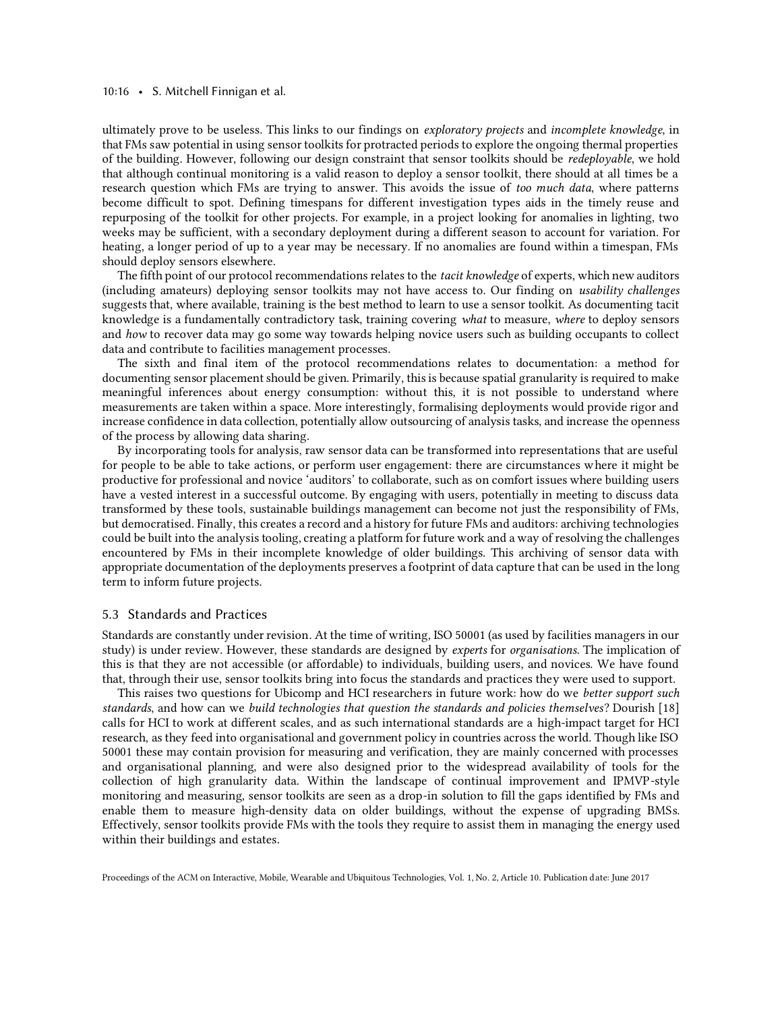#### 10:16 • S. Mitchell Finnigan et al.

ultimately prove to be useless. This links to our findings on *exploratory projects* and *incomplete knowledge*, in that FMs saw potential in using sensor toolkits for protracted periods to explore the ongoing thermal properties of the building. However, following our design constraint that sensor toolkits should be *redeployable*, we hold that although continual monitoring is a valid reason to deploy a sensor toolkit, there should at all times be a research question which FMs are trying to answer. This avoids the issue of *too much data*, where patterns become difficult to spot. Defining timespans for different investigation types aids in the timely reuse and repurposing of the toolkit for other projects. For example, in a project looking for anomalies in lighting, two weeks may be sufficient, with a secondary deployment during a different season to account for variation. For heating, a longer period of up to a year may be necessary. If no anomalies are found within a timespan, FMs should deploy sensors elsewhere.

The fifth point of our protocol recommendations relates to the *tacit knowledge* of experts, which new auditors (including amateurs) deploying sensor toolkits may not have access to. Our finding on *usability challenges* suggests that, where available, training is the best method to learn to use a sensor toolkit. As documenting tacit knowledge is a fundamentally contradictory task, training covering *what* to measure, *where* to deploy sensors and *how* to recover data may go some way towards helping novice users such as building occupants to collect data and contribute to facilities management processes.

The sixth and final item of the protocol recommendations relates to documentation: a method for documenting sensor placement should be given. Primarily, this is because spatial granularity is required to make meaningful inferences about energy consumption: without this, it is not possible to understand where measurements are taken within a space. More interestingly, formalising deployments would provide rigor and increase confidence in data collection, potentially allow outsourcing of analysis tasks, and increase the openness of the process by allowing data sharing.

By incorporating tools for analysis, raw sensor data can be transformed into representations that are useful for people to be able to take actions, or perform user engagement: there are circumstances where it might be productive for professional and novice 'auditors' to collaborate, such as on comfort issues where building users have a vested interest in a successful outcome. By engaging with users, potentially in meeting to discuss data transformed by these tools, sustainable buildings management can become not just the responsibility of FMs, but democratised. Finally, this creates a record and a history for future FMs and auditors: archiving technologies could be built into the analysis tooling, creating a platform for future work and a way of resolving the challenges encountered by FMs in their incomplete knowledge of older buildings. This archiving of sensor data with appropriate documentation of the deployments preserves a footprint of data capture that can be used in the long term to inform future projects.

#### 5.3 Standards and Practices

Standards are constantly under revision. At the time of writing, ISO 50001 (as used by facilities managers in our study) is under review. However, these standards are designed by *experts* for *organisations*. The implication of this is that they are not accessible (or affordable) to individuals, building users, and novices. We have found that, through their use, sensor toolkits bring into focus the standards and practices they were used to support.

This raises two questions for Ubicomp and HCI researchers in future work: how do we *better support such standards*, and how can we *build technologies that question the standards and policies themselves*? Dourish [18] calls for HCI to work at different scales, and as such international standards are a high-impact target for HCI research, as they feed into organisational and government policy in countries across the world. Though like ISO 50001 these may contain provision for measuring and verification, they are mainly concerned with processes and organisational planning, and were also designed prior to the widespread availability of tools for the collection of high granularity data. Within the landscape of continual improvement and IPMVP-style monitoring and measuring, sensor toolkits are seen as a drop-in solution to fill the gaps identified by FMs and enable them to measure high-density data on older buildings, without the expense of upgrading BMSs. Effectively, sensor toolkits provide FMs with the tools they require to assist them in managing the energy used within their buildings and estates.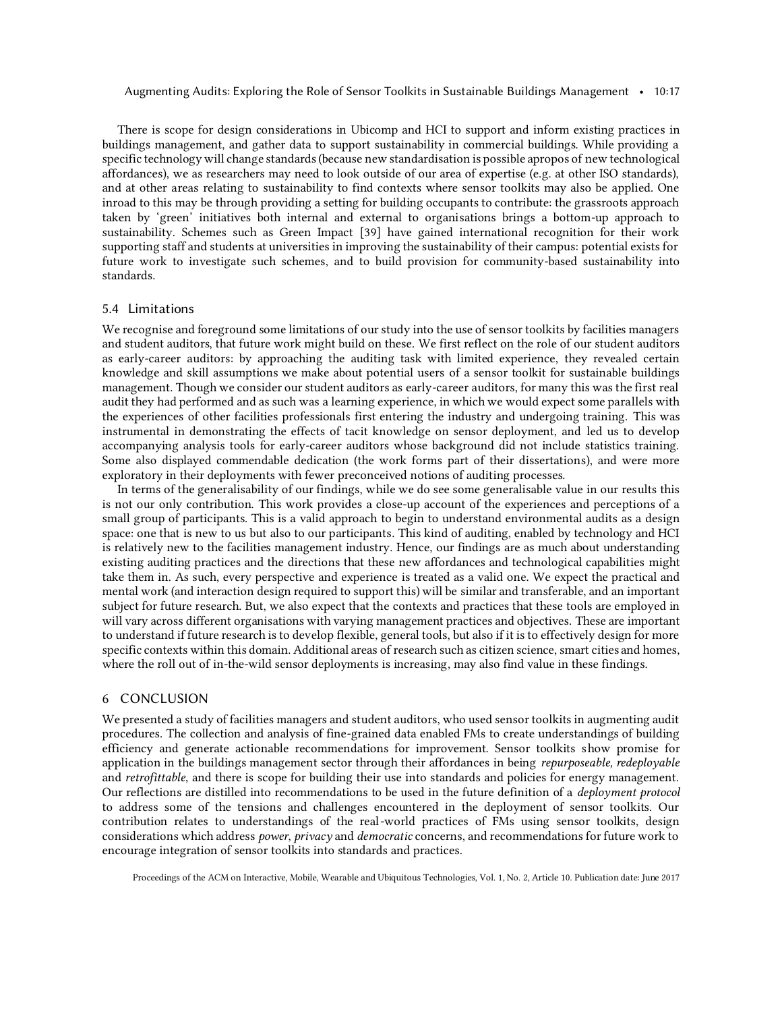There is scope for design considerations in Ubicomp and HCI to support and inform existing practices in buildings management, and gather data to support sustainability in commercial buildings. While providing a specific technology will change standards (because new standardisation is possible apropos of new technological affordances), we as researchers may need to look outside of our area of expertise (e.g. at other ISO standards), and at other areas relating to sustainability to find contexts where sensor toolkits may also be applied. One inroad to this may be through providing a setting for building occupants to contribute: the grassroots approach taken by 'green' initiatives both internal and external to organisations brings a bottom-up approach to sustainability. Schemes such as Green Impact [39] have gained international recognition for their work supporting staff and students at universities in improving the sustainability of their campus: potential exists for future work to investigate such schemes, and to build provision for community-based sustainability into standards.

#### 5.4 Limitations

We recognise and foreground some limitations of our study into the use of sensor toolkits by facilities managers and student auditors, that future work might build on these. We first reflect on the role of our student auditors as early-career auditors: by approaching the auditing task with limited experience, they revealed certain knowledge and skill assumptions we make about potential users of a sensor toolkit for sustainable buildings management. Though we consider our student auditors as early-career auditors, for many this was the first real audit they had performed and as such was a learning experience, in which we would expect some parallels with the experiences of other facilities professionals first entering the industry and undergoing training. This was instrumental in demonstrating the effects of tacit knowledge on sensor deployment, and led us to develop accompanying analysis tools for early-career auditors whose background did not include statistics training. Some also displayed commendable dedication (the work forms part of their dissertations), and were more exploratory in their deployments with fewer preconceived notions of auditing processes.

In terms of the generalisability of our findings, while we do see some generalisable value in our results this is not our only contribution. This work provides a close-up account of the experiences and perceptions of a small group of participants. This is a valid approach to begin to understand environmental audits as a design space: one that is new to us but also to our participants. This kind of auditing, enabled by technology and HCI is relatively new to the facilities management industry. Hence, our findings are as much about understanding existing auditing practices and the directions that these new affordances and technological capabilities might take them in. As such, every perspective and experience is treated as a valid one. We expect the practical and mental work (and interaction design required to support this) will be similar and transferable, and an important subject for future research. But, we also expect that the contexts and practices that these tools are employed in will vary across different organisations with varying management practices and objectives. These are important to understand if future research is to develop flexible, general tools, but also if it is to effectively design for more specific contexts within this domain. Additional areas of research such as citizen science, smart cities and homes, where the roll out of in-the-wild sensor deployments is increasing, may also find value in these findings.

# 6 CONCLUSION

We presented a study of facilities managers and student auditors, who used sensor toolkits in augmenting audit procedures. The collection and analysis of fine-grained data enabled FMs to create understandings of building efficiency and generate actionable recommendations for improvement. Sensor toolkits show promise for application in the buildings management sector through their affordances in being *repurposeable, redeployable*  and *retrofittable*, and there is scope for building their use into standards and policies for energy management. Our reflections are distilled into recommendations to be used in the future definition of a *deployment protocol* to address some of the tensions and challenges encountered in the deployment of sensor toolkits. Our contribution relates to understandings of the real-world practices of FMs using sensor toolkits, design considerations which address *power*, *privacy* and *democratic* concerns, and recommendations for future work to encourage integration of sensor toolkits into standards and practices.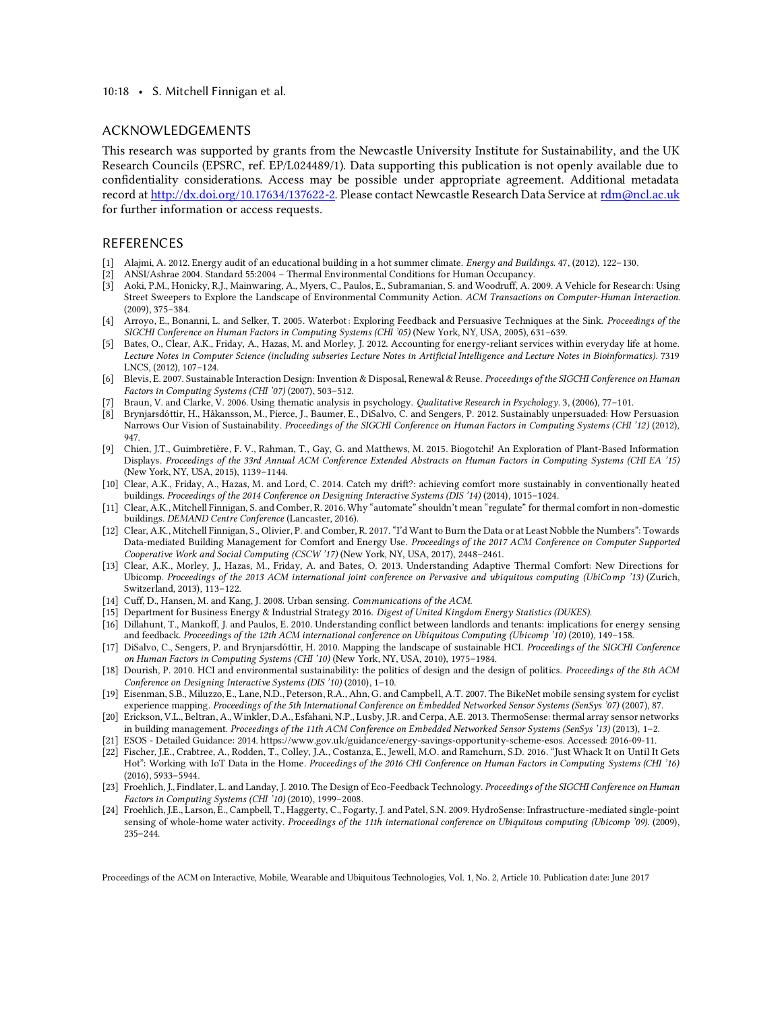#### 10:18 • S. Mitchell Finnigan et al.

# ACKNOWLEDGEMENTS

This research was supported by grants from the Newcastle University Institute for Sustainability, and the UK Research Councils (EPSRC, ref. EP/L024489/1). Data supporting this publication is not openly available due to confidentiality considerations. Access may be possible under appropriate agreement. Additional metadata record at [http://dx.doi.org/10.17634/137622-2.](http://dx.doi.org/10.17634/137622-2) Please contact Newcastle Research Data Service at [rdm@ncl.ac.uk](mailto:rdm@ncl.ac.uk) for further information or access requests.

#### REFERENCES

- [1] Alajmi, A. 2012. Energy audit of an educational building in a hot summer climate. *Energy and Buildings*. 47, (2012), 122–130.
- [2] ANSI/Ashrae 2004. Standard 55:2004 Thermal Environmental Conditions for Human Occupancy.
- [3] Aoki, P.M., Honicky, R.J., Mainwaring, A., Myers, C., Paulos, E., Subramanian, S. and Woodruff, A. 2009. A Vehicle for Research: Using Street Sweepers to Explore the Landscape of Environmental Community Action. *ACM Transactions on Computer-Human Interaction*. (2009), 375–384.
- [4] Arroyo, E., Bonanni, L. and Selker, T. 2005. Waterbot : Exploring Feedback and Persuasive Techniques at the Sink. *Proceedings of the SIGCHI Conference on Human Factors in Computing Systems (CHI '05)* (New York, NY, USA, 2005), 631–639.
- [5] Bates, O., Clear, A.K., Friday, A., Hazas, M. and Morley, J. 2012. Accounting for energy-reliant services within everyday life at home. *Lecture Notes in Computer Science (including subseries Lecture Notes in Artificial Intelligence and Lecture Notes in Bioinformatics)*. 7319 LNCS, (2012), 107–124.
- [6] Blevis, E. 2007. Sustainable Interaction Design: Invention & Disposal, Renewal & Reuse. *Proceedings of the SIGCHI Conference on Human Factors in Computing Systems (CHI '07)* (2007), 503–512.
- [7] Braun, V. and Clarke, V. 2006. Using thematic analysis in psychology. *Qualitative Research in Psychology*. 3, (2006), 77–101.
- [8] Brynjarsdóttir, H., Håkansson, M., Pierce, J., Baumer, E., DiSalvo, C. and Sengers, P. 2012. Sustainably unpersuaded: How Persuasion Narrows Our Vision of Sustainability. *Proceedings of the SIGCHI Conference on Human Factors in Computing Systems (CHI '12)* (2012), 947.
- [9] Chien, J.T., Guimbretière, F. V., Rahman, T., Gay, G. and Matthews, M. 2015. Biogotchi! An Exploration of Plant-Based Information Displays. *Proceedings of the 33rd Annual ACM Conference Extended Abstracts on Human Factors in Computing Systems (CHI EA '15)* (New York, NY, USA, 2015), 1139–1144.
- [10] Clear, A.K., Friday, A., Hazas, M. and Lord, C. 2014. Catch my drift?: achieving comfort more sustainably in conventionally heated buildings. *Proceedings of the 2014 Conference on Designing Interactive Systems (DIS '14)* (2014), 1015–1024.
- [11] Clear, A.K., Mitchell Finnigan, S. and Comber, R. 2016. Why "automate" shouldn't mean "regulate" for thermal comfort in non-domestic buildings. *DEMAND Centre Conference* (Lancaster, 2016).
- [12] Clear, A.K., Mitchell Finnigan, S., Olivier, P. and Comber, R. 2017. "I'd Want to Burn the Data or at Least Nobble the Numbers": Towards Data-mediated Building Management for Comfort and Energy Use. *Proceedings of the 2017 ACM Conference on Computer Supported Cooperative Work and Social Computing (CSCW '17)* (New York, NY, USA, 2017), 2448–2461.
- [13] Clear, A.K., Morley, J., Hazas, M., Friday, A. and Bates, O. 2013. Understanding Adaptive Thermal Comfort: New Directions for Ubicomp. *Proceedings of the 2013 ACM international joint conference on Pervasive and ubiquitous computing (UbiComp '13)* (Zurich, Switzerland, 2013), 113–122.
- [14] Cuff, D., Hansen, M. and Kang, J. 2008. Urban sensing. *Communications of the ACM*.
- [15] Department for Business Energy & Industrial Strategy 2016. *Digest of United Kingdom Energy Statistics (DUKES)*.
- [16] Dillahunt, T., Mankoff, J. and Paulos, E. 2010. Understanding conflict between landlords and tenants: implications for energy sensing and feedback. *Proceedings of the 12th ACM international conference on Ubiquitous Computing (Ubicomp '10)* (2010), 149–158.
- [17] DiSalvo, C., Sengers, P. and Brynjarsdóttir, H. 2010. Mapping the landscape of sustainable HCI. *Proceedings of the SIGCHI Conference on Human Factors in Computing Systems (CHI '10)* (New York, NY, USA, 2010), 1975–1984.
- [18] Dourish, P. 2010. HCI and environmental sustainability: the politics of design and the design of politics. *Proceedings of the 8th ACM Conference on Designing Interactive Systems (DIS '10)* (2010), 1–10.
- [19] Eisenman, S.B., Miluzzo, E., Lane, N.D., Peterson, R.A., Ahn, G. and Campbell, A.T. 2007. The BikeNet mobile sensing system for cyclist experience mapping. *Proceedings of the 5th International Conference on Embedded Networked Sensor Systems (SenSys '07)* (2007), 87.
- [20] Erickson, V.L., Beltran, A., Winkler, D.A., Esfahani, N.P., Lusby, J.R. and Cerpa, A.E. 2013. ThermoSense: thermal array sensor networks in building management. *Proceedings of the 11th ACM Conference on Embedded Networked Sensor Systems (SenSys '13)* (2013), 1–2.
- [21] ESOS Detailed Guidance: 2014. https://www.gov.uk/guidance/energy-savings-opportunity-scheme-esos. Accessed: 2016-09-11.
- [22] Fischer, J.E., Crabtree, A., Rodden, T., Colley, J.A., Costanza, E., Jewell, M.O. and Ramchurn, S.D. 2016. "Just Whack It on Until It Gets Hot": Working with IoT Data in the Home. *Proceedings of the 2016 CHI Conference on Human Factors in Computing Systems (CHI '16)* (2016), 5933–5944.
- [23] Froehlich, J., Findlater, L. and Landay, J. 2010. The Design of Eco-Feedback Technology. *Proceedings of the SIGCHI Conference on Human Factors in Computing Systems (CHI '10)* (2010), 1999–2008.
- [24] Froehlich, J.E., Larson, E., Campbell, T., Haggerty, C., Fogarty, J. and Patel, S.N. 2009. HydroSense: Infrastructure-mediated single-point sensing of whole-home water activity. *Proceedings of the 11th international conference on Ubiquitous computing (Ubicomp '09)*. (2009), 235–244.